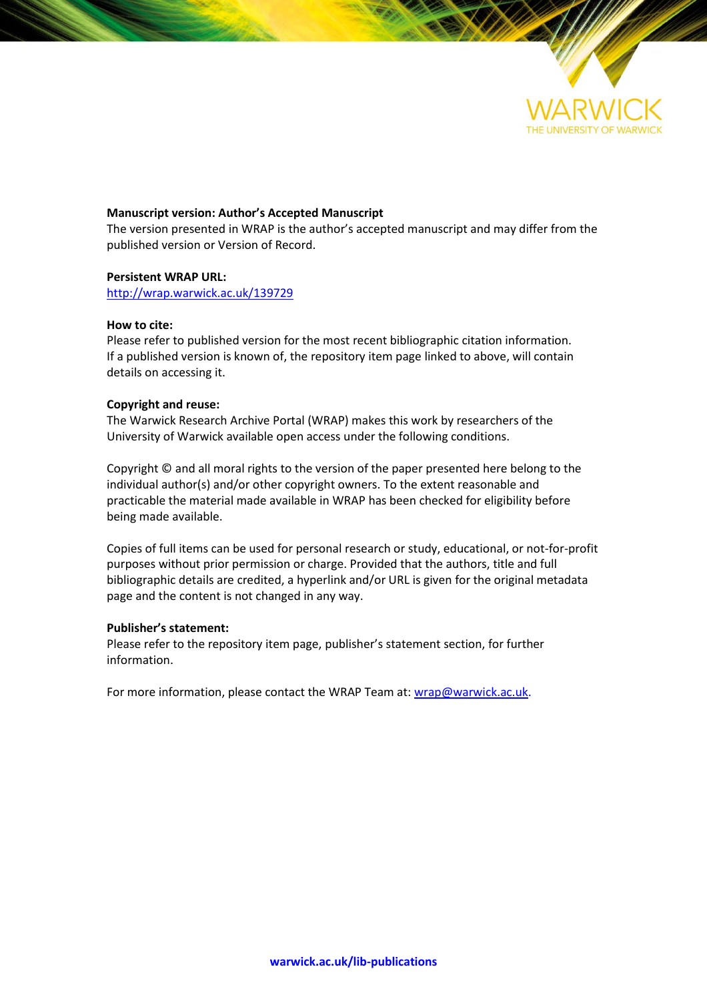

### **Manuscript version: Author's Accepted Manuscript**

The version presented in WRAP is the author's accepted manuscript and may differ from the published version or Version of Record.

### **Persistent WRAP URL:**

<http://wrap.warwick.ac.uk/139729>

### **How to cite:**

Please refer to published version for the most recent bibliographic citation information. If a published version is known of, the repository item page linked to above, will contain details on accessing it.

### **Copyright and reuse:**

The Warwick Research Archive Portal (WRAP) makes this work by researchers of the University of Warwick available open access under the following conditions.

Copyright © and all moral rights to the version of the paper presented here belong to the individual author(s) and/or other copyright owners. To the extent reasonable and practicable the material made available in WRAP has been checked for eligibility before being made available.

Copies of full items can be used for personal research or study, educational, or not-for-profit purposes without prior permission or charge. Provided that the authors, title and full bibliographic details are credited, a hyperlink and/or URL is given for the original metadata page and the content is not changed in any way.

### **Publisher's statement:**

Please refer to the repository item page, publisher's statement section, for further information.

For more information, please contact the WRAP Team at[: wrap@warwick.ac.uk.](mailto:wrap@warwick.ac.uk)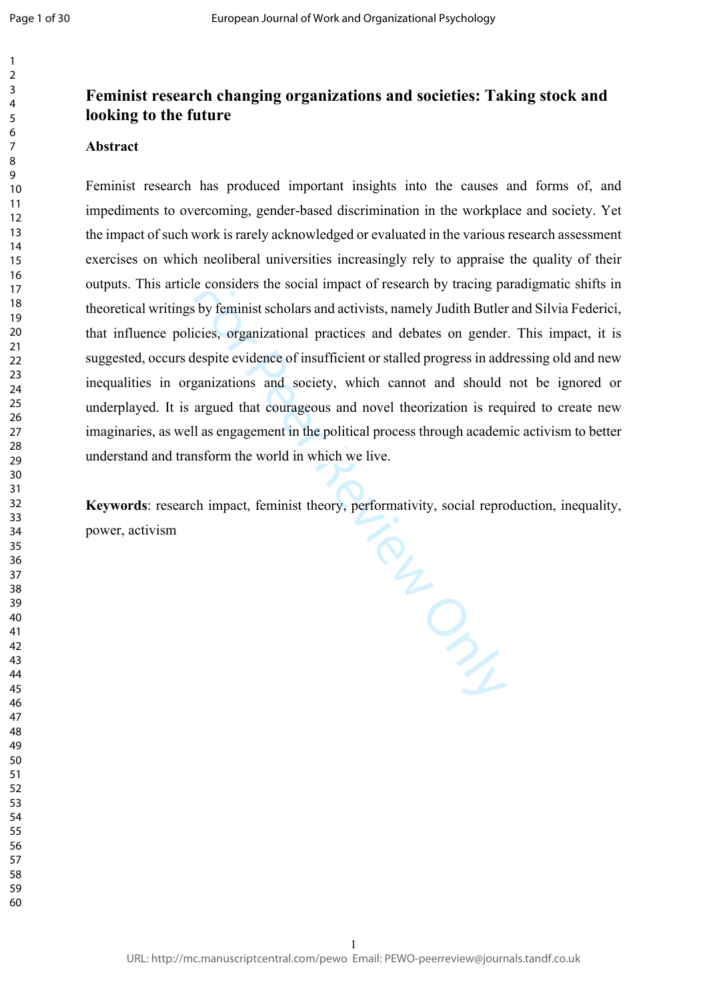# **Feminist research changing organizations and societies: Taking stock and looking to the future**

## **Abstract**

Feminist research has produced important insights into the causes and forms of, and impediments to overcoming, gender-based discrimination in the workplace and society. Yet the impact of such work is rarely acknowledged or evaluated in the various research assessment exercises on which neoliberal universities increasingly rely to appraise the quality of their outputs. This article considers the social impact of research by tracing paradigmatic shifts in theoretical writings by feminist scholars and activists, namely Judith Butler and Silvia Federici, that influence policies, organizational practices and debates on gender. This impact, it is suggested, occurs despite evidence of insufficient or stalled progress in addressing old and new inequalities in organizations and society, which cannot and should not be ignored or underplayed. It is argued that courageous and novel theorization is required to create new imaginaries, as well as engagement in the political process through academic activism to better understand and transform the world in which we live.

For Peer Review Only **Keywords**: research impact, feminist theory, performativity, social reproduction, inequality, power, activism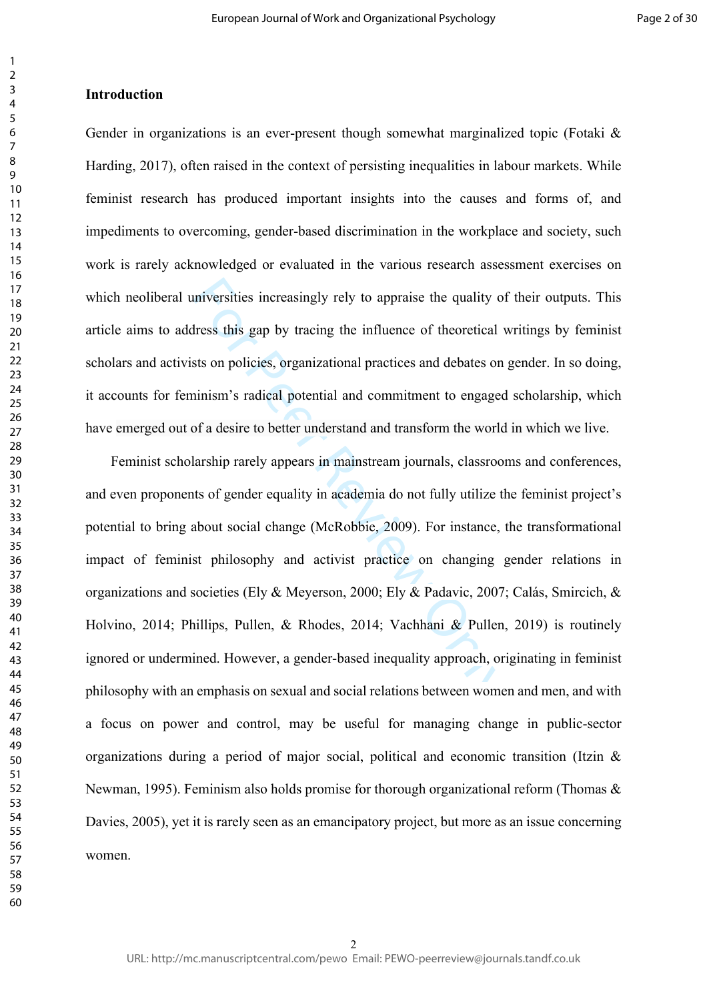Gender in organizations is an ever-present though somewhat marginalized topic (Fotaki  $\&$ Harding, 2017), often raised in the context of persisting inequalities in labour markets. While feminist research has produced important insights into the causes and forms of, and impediments to overcoming, gender-based discrimination in the workplace and society, such work is rarely acknowledged or evaluated in the various research assessment exercises on which neoliberal universities increasingly rely to appraise the quality of their outputs. This article aims to address this gap by tracing the influence of theoretical writings by feminist scholars and activists on policies, organizational practices and debates on gender. In so doing, it accounts for feminism's radical potential and commitment to engaged scholarship, which have emerged out of a desire to better understand and transform the world in which we live.

miversities increasingly rely to appraise the quality of<br>Iress this gap by tracing the influence of theoretical v<br>sts on policies, organizational practices and debates on<br>inism's radical potential and commitment to engaged Feminist scholarship rarely appears in mainstream journals, classrooms and conferences, and even proponents of gender equality in academia do not fully utilize the feminist project's potential to bring about social change (McRobbie, 2009). For instance, the transformational impact of feminist philosophy and activist practice on changing gender relations in organizations and societies (Ely & Meyerson, 2000; Ely & Padavic, 2007; Calás, Smircich, & Holvino, 2014; Phillips, Pullen, & Rhodes, 2014; Vachhani & Pullen, 2019) is routinely ignored or undermined. However, a gender-based inequality approach, originating in feminist philosophy with an emphasis on sexual and social relations between women and men, and with a focus on power and control, may be useful for managing change in public-sector organizations during a period of major social, political and economic transition (Itzin & Newman, 1995). Feminism also holds promise for thorough organizational reform (Thomas  $\&$ Davies, 2005), yet it is rarely seen as an emancipatory project, but more as an issue concerning women.

 $\mathbf{1}$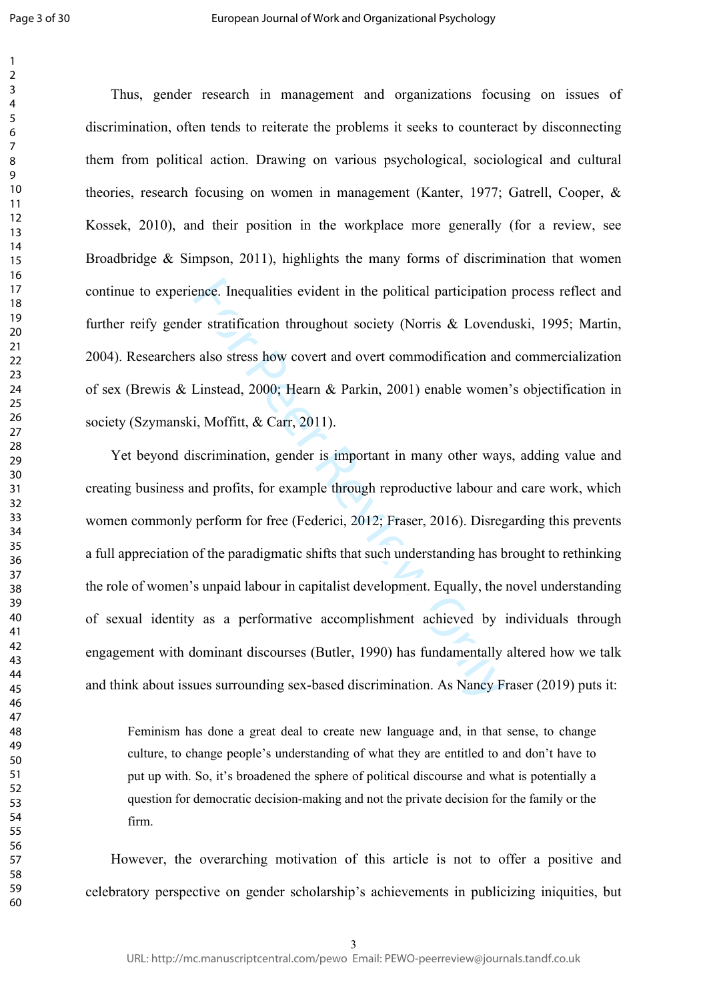$\mathbf{1}$  $\overline{2}$ 

Thus, gender research in management and organizations focusing on issues of discrimination, often tends to reiterate the problems it seeks to counteract by disconnecting them from political action. Drawing on various psychological, sociological and cultural theories, research focusing on women in management (Kanter, 1977; Gatrell, Cooper, & Kossek, 2010), and their position in the workplace more generally (for a review, see Broadbridge & Simpson, 2011), highlights the many forms of discrimination that women continue to experience. Inequalities evident in the political participation process reflect and further reify gender stratification throughout society (Norris & Lovenduski, 1995; Martin, 2004). Researchers also stress how covert and overt commodification and commercialization of sex (Brewis & Linstead, 2000; Hearn & Parkin, 2001) enable women's objectification in society (Szymanski, Moffitt, & Carr, 2011).

ence. Inequalities evident in the political participation<br>er stratification throughout society (Norris & Lovend<br>a laso stress how covert and overt commodification and<br>Linstead, 2000; Hearn & Parkin, 2001) enable women<br>i, M Yet beyond discrimination, gender is important in many other ways, adding value and creating business and profits, for example through reproductive labour and care work, which women commonly perform for free (Federici, 2012; Fraser, 2016). Disregarding this prevents a full appreciation of the paradigmatic shifts that such understanding has brought to rethinking the role of women's unpaid labour in capitalist development. Equally, the novel understanding of sexual identity as a performative accomplishment achieved by individuals through engagement with dominant discourses (Butler, 1990) has fundamentally altered how we talk and think about issues surrounding sex-based discrimination. As Nancy Fraser (2019) puts it:

Feminism has done a great deal to create new language and, in that sense, to change culture, to change people's understanding of what they are entitled to and don't have to put up with. So, it's broadened the sphere of political discourse and what is potentially a question for democratic decision-making and not the private decision for the family or the firm.

However, the overarching motivation of this article is not to offer a positive and celebratory perspective on gender scholarship's achievements in publicizing iniquities, but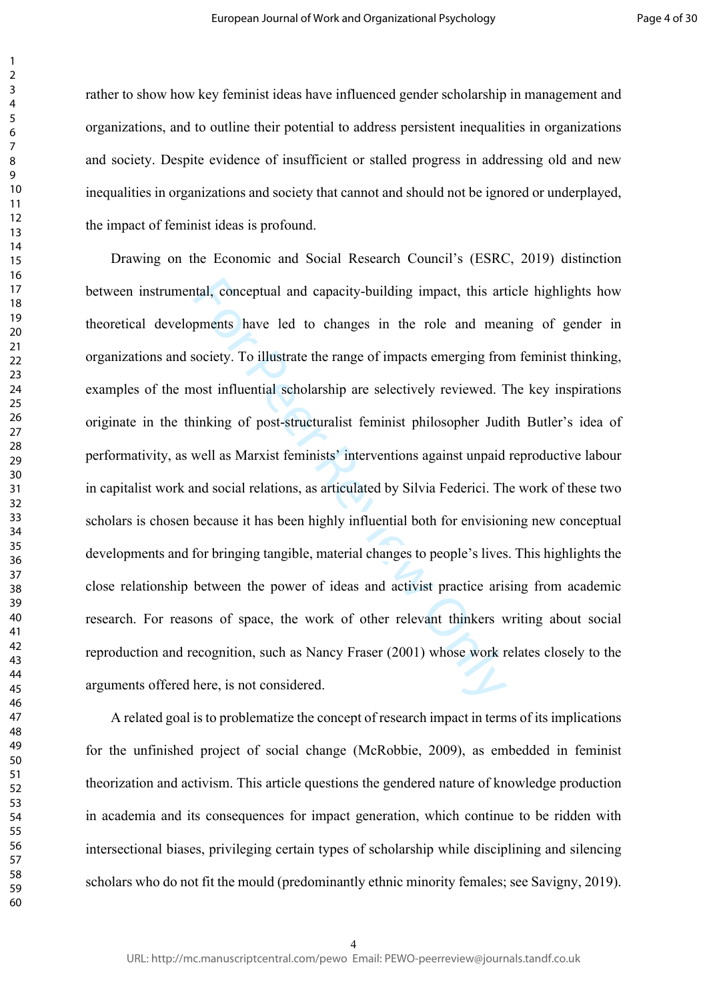rather to show how key feminist ideas have influenced gender scholarship in management and organizations, and to outline their potential to address persistent inequalities in organizations and society. Despite evidence of insufficient or stalled progress in addressing old and new inequalities in organizations and society that cannot and should not be ignored or underplayed, the impact of feminist ideas is profound.

tal, conceptual and capacity-building impact, this art<br>pments have led to changes in the role and mea<br>society. To illustrate the range of impacts emerging from<br>oost influential scholarship are selectively reviewed. T<br>inkin Drawing on the Economic and Social Research Council's (ESRC, 2019) distinction between instrumental, conceptual and capacity-building impact, this article highlights how theoretical developments have led to changes in the role and meaning of gender in organizations and society. To illustrate the range of impacts emerging from feminist thinking, examples of the most influential scholarship are selectively reviewed. The key inspirations originate in the thinking of post-structuralist feminist philosopher Judith Butler's idea of performativity, as well as Marxist feminists' interventions against unpaid reproductive labour in capitalist work and social relations, as articulated by Silvia Federici. The work of these two scholars is chosen because it has been highly influential both for envisioning new conceptual developments and for bringing tangible, material changes to people's lives. This highlights the close relationship between the power of ideas and activist practice arising from academic research. For reasons of space, the work of other relevant thinkers writing about social reproduction and recognition, such as Nancy Fraser (2001) whose work relates closely to the arguments offered here, is not considered.

A related goal is to problematize the concept of research impact in terms of its implications for the unfinished project of social change (McRobbie, 2009), as embedded in feminist theorization and activism. This article questions the gendered nature of knowledge production in academia and its consequences for impact generation, which continue to be ridden with intersectional biases, privileging certain types of scholarship while disciplining and silencing scholars who do not fit the mould (predominantly ethnic minority females; see Savigny, 2019).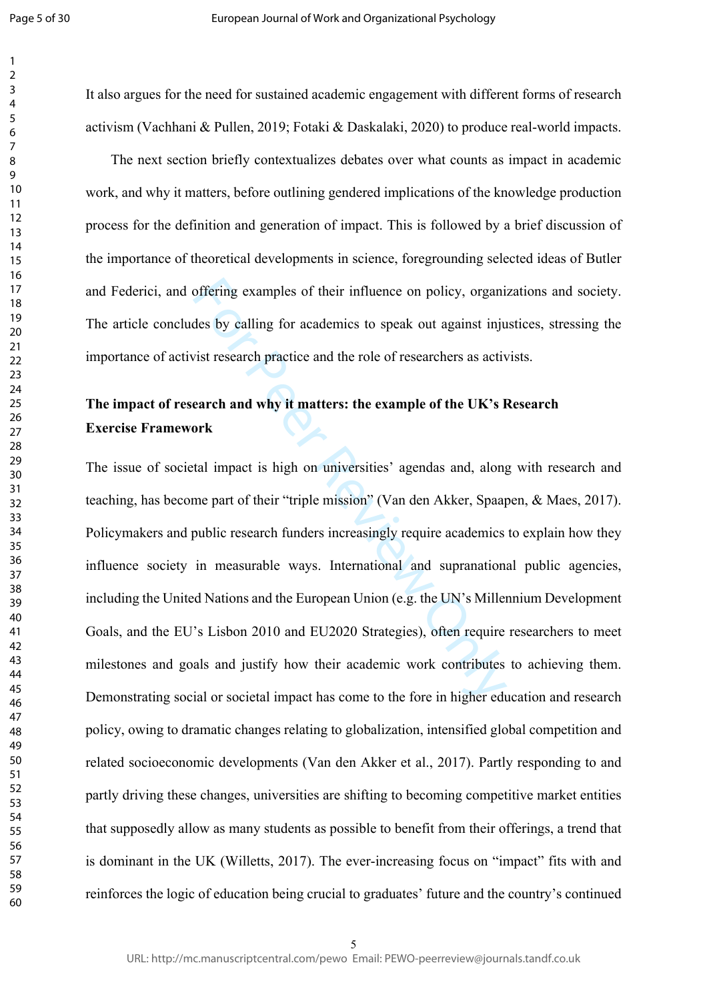$\mathbf{1}$  $\overline{2}$ 

It also argues for the need for sustained academic engagement with different forms of research activism (Vachhani & Pullen, 2019; Fotaki & Daskalaki, 2020) to produce real-world impacts.

The next section briefly contextualizes debates over what counts as impact in academic work, and why it matters, before outlining gendered implications of the knowledge production process for the definition and generation of impact. This is followed by a brief discussion of the importance of theoretical developments in science, foregrounding selected ideas of Butler and Federici, and offering examples of their influence on policy, organizations and society. The article concludes by calling for academics to speak out against injustices, stressing the importance of activist research practice and the role of researchers as activists.

# **The impact of research and why it matters: the example of the UK's Research Exercise Framework**

offering examples of their influence on policy, organides by calling for academics to speak out against injust research practice and the role of researchers as active earch and why it matters: the example of the UK's I bea The issue of societal impact is high on universities' agendas and, along with research and teaching, has become part of their "triple mission" (Van den Akker, Spaapen, & Maes, 2017). Policymakers and public research funders increasingly require academics to explain how they influence society in measurable ways. International and supranational public agencies, including the United Nations and the European Union (e.g. the UN's Millennium Development Goals, and the EU's Lisbon 2010 and EU2020 Strategies), often require researchers to meet milestones and goals and justify how their academic work contributes to achieving them. Demonstrating social or societal impact has come to the fore in higher education and research policy, owing to dramatic changes relating to globalization, intensified global competition and related socioeconomic developments (Van den Akker et al., 2017). Partly responding to and partly driving these changes, universities are shifting to becoming competitive market entities that supposedly allow as many students as possible to benefit from their offerings, a trend that is dominant in the UK (Willetts, 2017). The ever-increasing focus on "impact" fits with and reinforces the logic of education being crucial to graduates' future and the country's continued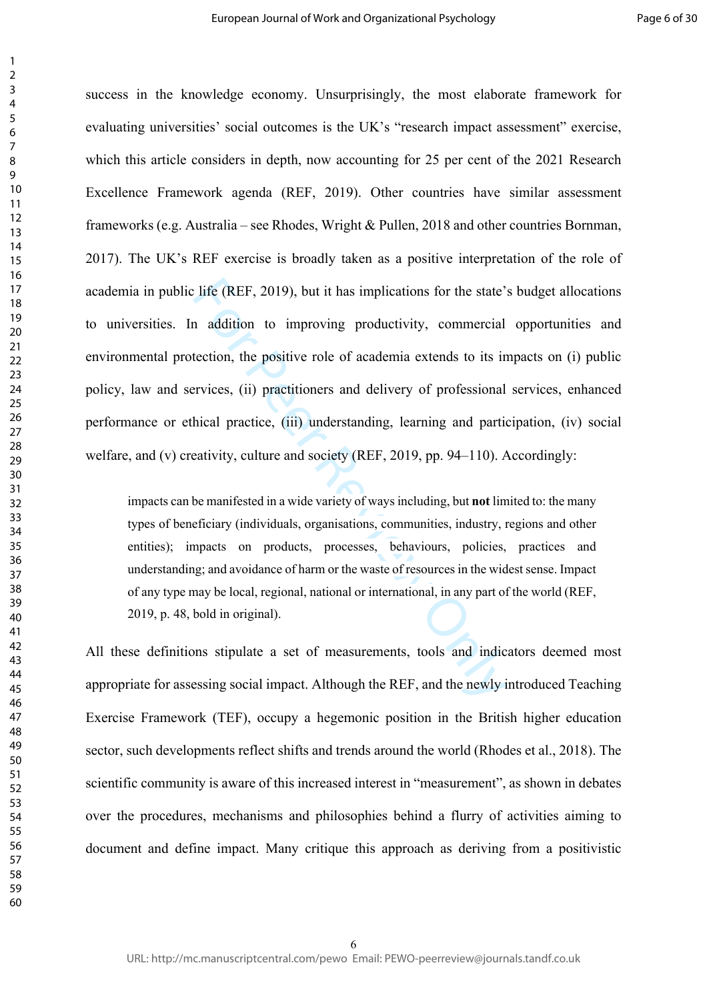For the state' and it is implications for the state'<br>a addition to improving productivity, commercial<br>tection, the positive role of academia extends to its in<br>rvices, (ii) practitioners and delivery of professional<br>hical p success in the knowledge economy. Unsurprisingly, the most elaborate framework for evaluating universities' social outcomes is the UK's "research impact assessment" exercise, which this article considers in depth, now accounting for 25 per cent of the 2021 Research Excellence Framework agenda (REF, 2019). Other countries have similar assessment frameworks (e.g. Australia – see Rhodes, Wright & Pullen, 2018 and other countries Bornman, 2017). The UK's REF exercise is broadly taken as a positive interpretation of the role of academia in public life (REF, 2019), but it has implications for the state's budget allocations to universities. In addition to improving productivity, commercial opportunities and environmental protection, the positive role of academia extends to its impacts on (i) public policy, law and services, (ii) practitioners and delivery of professional services, enhanced performance or ethical practice, (iii) understanding, learning and participation, (iv) social welfare, and (v) creativity, culture and society (REF, 2019, pp. 94–110). Accordingly:

impacts can be manifested in a wide variety of ways including, but **not** limited to: the many types of beneficiary (individuals, organisations, communities, industry, regions and other entities); impacts on products, processes, behaviours, policies, practices and understanding; and avoidance of harm or the waste of resources in the widest sense. Impact of any type may be local, regional, national or international, in any part of the world (REF, 2019, p. 48, bold in original).

All these definitions stipulate a set of measurements, tools and indicators deemed most appropriate for assessing social impact. Although the REF, and the newly introduced Teaching Exercise Framework (TEF), occupy a hegemonic position in the British higher education sector, such developments reflect shifts and trends around the world (Rhodes et al., 2018). The scientific community is aware of this increased interest in "measurement", as shown in debates over the procedures, mechanisms and philosophies behind a flurry of activities aiming to document and define impact. Many critique this approach as deriving from a positivistic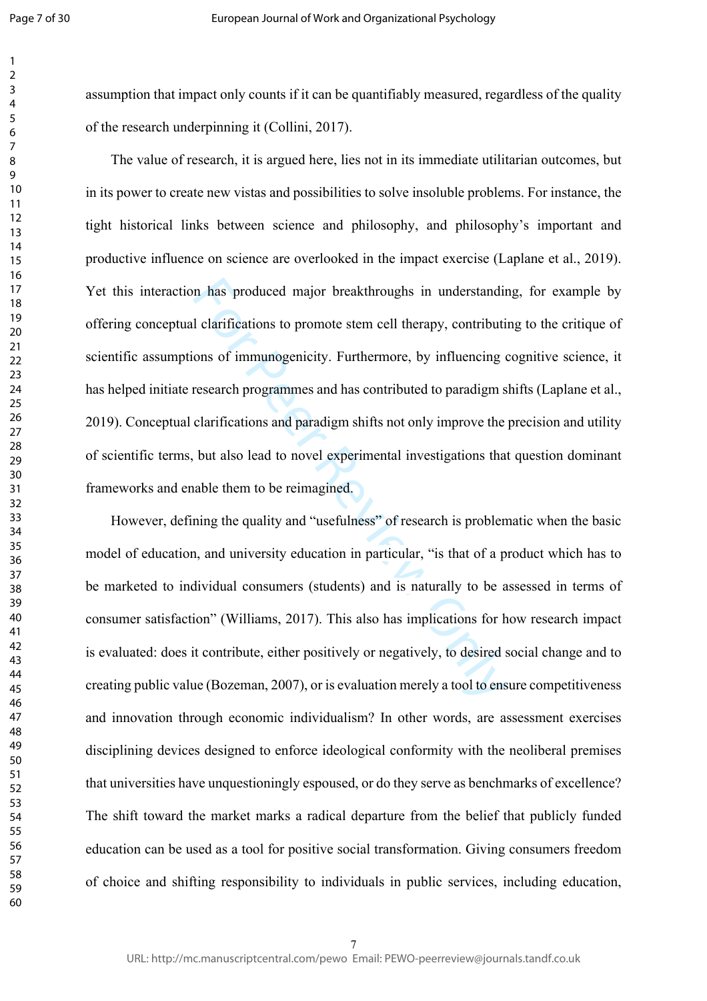assumption that impact only counts if it can be quantifiably measured, regardless of the quality of the research underpinning it (Collini, 2017).

In thas produced major breakthroughs in understandinced larifications to promote stem cell therapy, contributions of immunogenicity. Furthermore, by influencing a research programmes and has contributed to paradigm s clari The value of research, it is argued here, lies not in its immediate utilitarian outcomes, but in its power to create new vistas and possibilities to solve insoluble problems. For instance, the tight historical links between science and philosophy, and philosophy's important and productive influence on science are overlooked in the impact exercise (Laplane et al., 2019). Yet this interaction has produced major breakthroughs in understanding, for example by offering conceptual clarifications to promote stem cell therapy, contributing to the critique of scientific assumptions of immunogenicity. Furthermore, by influencing cognitive science, it has helped initiate research programmes and has contributed to paradigm shifts (Laplane et al., 2019). Conceptual clarifications and paradigm shifts not only improve the precision and utility of scientific terms, but also lead to novel experimental investigations that question dominant frameworks and enable them to be reimagined.

However, defining the quality and "usefulness" of research is problematic when the basic model of education, and university education in particular, "is that of a product which has to be marketed to individual consumers (students) and is naturally to be assessed in terms of consumer satisfaction" (Williams, 2017). This also has implications for how research impact is evaluated: does it contribute, either positively or negatively, to desired social change and to creating public value (Bozeman, 2007), or is evaluation merely a tool to ensure competitiveness and innovation through economic individualism? In other words, are assessment exercises disciplining devices designed to enforce ideological conformity with the neoliberal premises that universities have unquestioningly espoused, or do they serve as benchmarks of excellence? The shift toward the market marks a radical departure from the belief that publicly funded education can be used as a tool for positive social transformation. Giving consumers freedom of choice and shifting responsibility to individuals in public services, including education,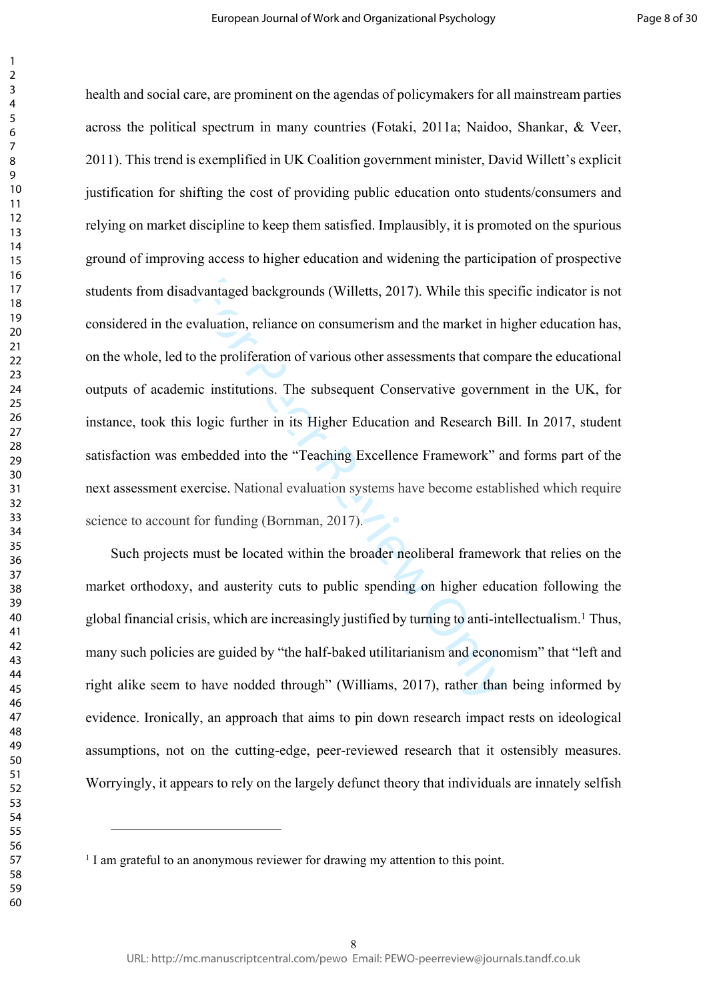dvantaged backgrounds (Willetts, 2017). While this spe<br>valuation, reliance on consumerism and the market in h<br>of the proliferation of various other assessments that com<br>ic institutions. The subsequent Conservative governn<br> health and social care, are prominent on the agendas of policymakers for all mainstream parties across the political spectrum in many countries (Fotaki, 2011a; Naidoo, Shankar, & Veer, 2011). This trend is exemplified in UK Coalition government minister, David Willett's explicit justification for shifting the cost of providing public education onto students/consumers and relying on market discipline to keep them satisfied. Implausibly, it is promoted on the spurious ground of improving access to higher education and widening the participation of prospective students from disadvantaged backgrounds (Willetts, 2017). While this specific indicator is not considered in the evaluation, reliance on consumerism and the market in higher education has, on the whole, led to the proliferation of various other assessments that compare the educational outputs of academic institutions. The subsequent Conservative government in the UK, for instance, took this logic further in its Higher Education and Research Bill. In 2017, student satisfaction was embedded into the "Teaching Excellence Framework" and forms part of the next assessment exercise. National evaluation systems have become established which require science to account for funding (Bornman, 2017).

Such projects must be located within the broader neoliberal framework that relies on the market orthodoxy, and austerity cuts to public spending on higher education following the global financial crisis, which are increasingly justified by turning to anti-intellectualism. 1 Thus, many such policies are guided by "the half-baked utilitarianism and economism" that "left and right alike seem to have nodded through" (Williams, 2017), rather than being informed by evidence. Ironically, an approach that aims to pin down research impact rests on ideological assumptions, not on the cutting-edge, peer-reviewed research that it ostensibly measures. Worryingly, it appears to rely on the largely defunct theory that individuals are innately selfish

<sup>&</sup>lt;sup>1</sup> I am grateful to an anonymous reviewer for drawing my attention to this point.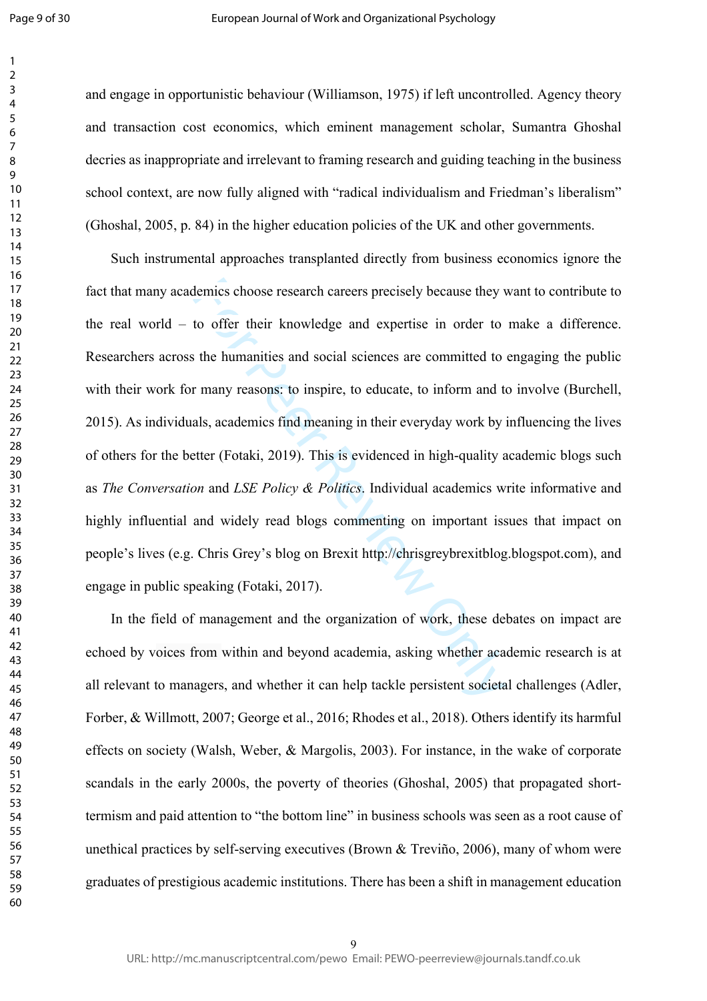$\mathbf{1}$  $\overline{2}$ 

and engage in opportunistic behaviour (Williamson, 1975) if left uncontrolled. Agency theory and transaction cost economics, which eminent management scholar, Sumantra Ghoshal decries as inappropriate and irrelevant to framing research and guiding teaching in the business school context, are now fully aligned with "radical individualism and Friedman's liberalism" (Ghoshal, 2005, p. 84) in the higher education policies of the UK and other governments.

demics choose research careers precisely because they v<br>to offer their knowledge and expertise in order to<br>the humanities and social sciences are committed to<br>r many reasons: to inspire, to educate, to inform and to<br>als, a Such instrumental approaches transplanted directly from business economics ignore the fact that many academics choose research careers precisely because they want to contribute to the real world – to offer their knowledge and expertise in order to make a difference. Researchers across the humanities and social sciences are committed to engaging the public with their work for many reasons: to inspire, to educate, to inform and to involve (Burchell, 2015). As individuals, academics find meaning in their everyday work by influencing the lives of others for the better (Fotaki, 2019). This is evidenced in high-quality academic blogs such as *The Conversation* and *LSE Policy & Politics*. Individual academics write informative and highly influential and widely read blogs commenting on important issues that impact on people's lives (e.g. Chris Grey's blog on Brexit <http://chrisgreybrexitblog.blogspot.com>), and engage in public speaking (Fotaki, 2017).

In the field of management and the organization of work, these debates on impact are echoed by voices from within and beyond academia, asking whether academic research is at all relevant to managers, and whether it can help tackle persistent societal challenges (Adler, Forber, & Willmott, 2007; George et al., 2016; Rhodes et al., 2018). Others identify its harmful effects on society (Walsh, Weber, & Margolis, 2003). For instance, in the wake of corporate scandals in the early 2000s, the poverty of theories (Ghoshal, 2005) that propagated shorttermism and paid attention to "the bottom line" in business schools was seen as a root cause of unethical practices by self-serving executives (Brown & Treviño, 2006), many of whom were graduates of prestigious academic institutions. There has been a shift in management education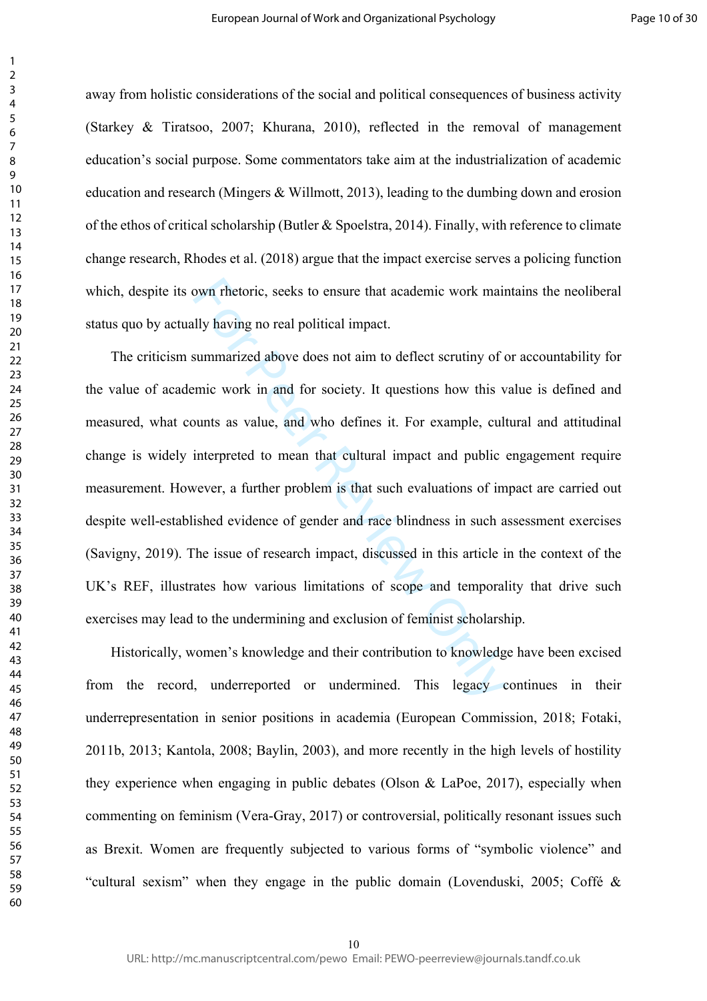away from holistic considerations of the social and political consequences of business activity (Starkey & Tiratsoo, 2007; Khurana, 2010), reflected in the removal of management education's social purpose. Some commentators take aim at the industrialization of academic education and research (Mingers & Willmott, 2013), leading to the dumbing down and erosion of the ethos of critical scholarship (Butler & Spoelstra, 2014). Finally, with reference to climate change research, Rhodes et al. (2018) argue that the impact exercise serves a policing function which, despite its own rhetoric, seeks to ensure that academic work maintains the neoliberal status quo by actually having no real political impact.

bown rhetoric, seeks to ensure that academic work main<br>Illy having no real political impact.<br>
summarized above does not aim to deflect scrutiny of emic work in and for society. It questions how this v<br>
sum to save and who The criticism summarized above does not aim to deflect scrutiny of or accountability for the value of academic work in and for society. It questions how this value is defined and measured, what counts as value, and who defines it. For example, cultural and attitudinal change is widely interpreted to mean that cultural impact and public engagement require measurement. However, a further problem is that such evaluations of impact are carried out despite well-established evidence of gender and race blindness in such assessment exercises (Savigny, 2019). The issue of research impact, discussed in this article in the context of the UK's REF, illustrates how various limitations of scope and temporality that drive such exercises may lead to the undermining and exclusion of feminist scholarship.

Historically, women's knowledge and their contribution to knowledge have been excised from the record, underreported or undermined. This legacy continues in their underrepresentation in senior positions in academia (European Commission, 2018; Fotaki, 2011b, 2013; Kantola, 2008; Baylin, 2003), and more recently in the high levels of hostility they experience when engaging in public debates (Olson & LaPoe, 2017), especially when commenting on feminism (Vera-Gray, 2017) or controversial, politically resonant issues such as Brexit. Women are frequently subjected to various forms of "symbolic violence" and "cultural sexism" when they engage in the public domain (Lovenduski, 2005; Coffé &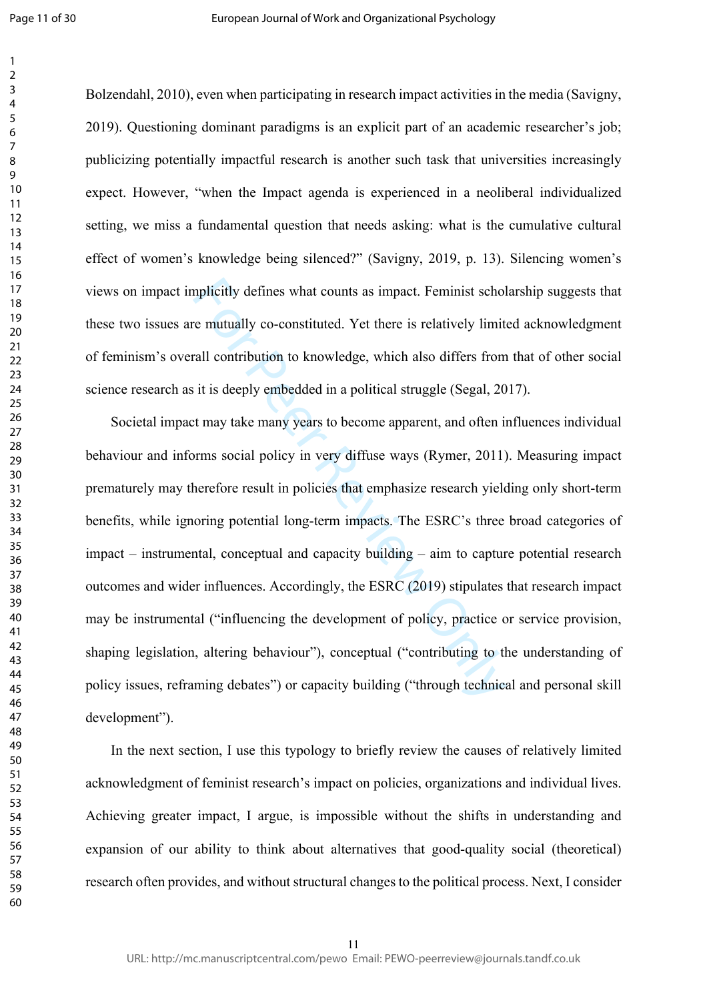Bolzendahl, 2010), even when participating in research impact activities in the media (Savigny, 2019). Questioning dominant paradigms is an explicit part of an academic researcher's job; publicizing potentially impactful research is another such task that universities increasingly expect. However, "when the Impact agenda is experienced in a neoliberal individualized setting, we miss a fundamental question that needs asking: what is the cumulative cultural effect of women's knowledge being silenced?" (Savigny, 2019, p. 13). Silencing women's views on impact implicitly defines what counts as impact. Feminist scholarship suggests that these two issues are mutually co-constituted. Yet there is relatively limited acknowledgment of feminism's overall contribution to knowledge, which also differs from that of other social science research as it is deeply embedded in a political struggle (Segal, 2017).

mplicitly defines what counts as impact. Feminist schol<br>
e mutually co-constituted. Yet there is relatively limit<br>
rall contribution to knowledge, which also differs from<br>
it is deeply embedded in a political struggle (Seg Societal impact may take many years to become apparent, and often influences individual behaviour and informs social policy in very diffuse ways (Rymer, 2011). Measuring impact prematurely may therefore result in policies that emphasize research yielding only short-term benefits, while ignoring potential long-term impacts. The ESRC's three broad categories of impact – instrumental, conceptual and capacity building – aim to capture potential research outcomes and wider influences. Accordingly, the ESRC (2019) stipulates that research impact may be instrumental ("influencing the development of policy, practice or service provision, shaping legislation, altering behaviour"), conceptual ("contributing to the understanding of policy issues, reframing debates") or capacity building ("through technical and personal skill development").

In the next section, I use this typology to briefly review the causes of relatively limited acknowledgment of feminist research's impact on policies, organizations and individual lives. Achieving greater impact, I argue, is impossible without the shifts in understanding and expansion of our ability to think about alternatives that good-quality social (theoretical) research often provides, and without structural changes to the political process. Next, I consider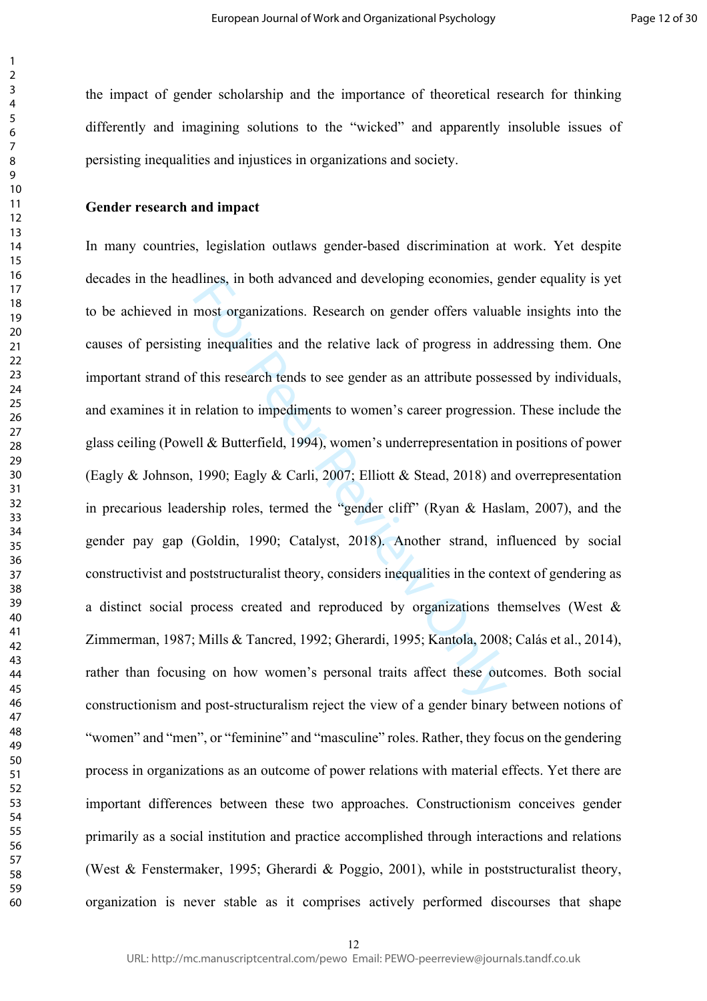the impact of gender scholarship and the importance of theoretical research for thinking differently and imagining solutions to the "wicked" and apparently insoluble issues of persisting inequalities and injustices in organizations and society.

# **Gender research and impact**

annes, in both advanced and developing economies, gemost organizations. Research on gender offers valual<br>g inequalities and the relative lack of progress in ad<br>f this research tends to see gender as an attribute posse<br>rela In many countries, legislation outlaws gender-based discrimination at work. Yet despite decades in the headlines, in both advanced and developing economies, gender equality is yet to be achieved in most organizations. Research on gender offers valuable insights into the causes of persisting inequalities and the relative lack of progress in addressing them. One important strand of this research tends to see gender as an attribute possessed by individuals, and examines it in relation to impediments to women's career progression. These include the glass ceiling (Powell & Butterfield, 1994), women's underrepresentation in positions of power (Eagly & Johnson, 1990; Eagly & Carli, 2007; Elliott & Stead, 2018) and overrepresentation in precarious leadership roles, termed the "gender cliff" (Ryan & Haslam, 2007), and the gender pay gap (Goldin, 1990; Catalyst, 2018). Another strand, influenced by social constructivist and poststructuralist theory, considers inequalities in the context of gendering as a distinct social process created and reproduced by organizations themselves (West & Zimmerman, 1987; Mills & Tancred, 1992; Gherardi, 1995; Kantola, 2008; Calás et al., 2014), rather than focusing on how women's personal traits affect these outcomes. Both social constructionism and post-structuralism reject the view of a gender binary between notions of "women" and "men", or "feminine" and "masculine" roles. Rather, they focus on the gendering process in organizations as an outcome of power relations with material effects. Yet there are important differences between these two approaches. Constructionism conceives gender primarily as a social institution and practice accomplished through interactions and relations (West & Fenstermaker, 1995; Gherardi & Poggio, 2001), while in poststructuralist theory, organization is never stable as it comprises actively performed discourses that shape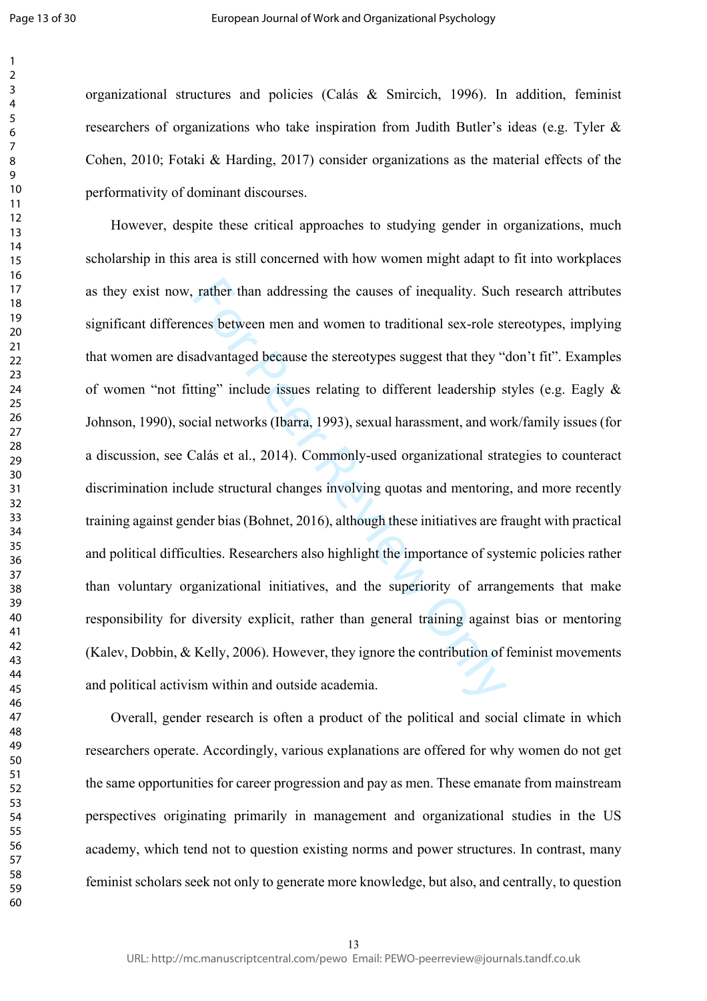Page 13 of 30

 $\mathbf{1}$  $\overline{2}$  $\overline{3}$  $\overline{4}$  $\overline{7}$ 

organizational structures and policies (Calás & Smircich, 1996). In addition, feminist researchers of organizations who take inspiration from Judith Butler's ideas (e.g. Tyler & Cohen, 2010; Fotaki & Harding, 2017) consider organizations as the material effects of the performativity of dominant discourses.

rather than addressing the causes of inequality. Such<br>ces between men and women to traditional sex-role st<br>advantaged because the stereotypes suggest that they "<br>ting" include issues relating to different leadership s<br>cial However, despite these critical approaches to studying gender in organizations, much scholarship in this area is still concerned with how women might adapt to fit into workplaces as they exist now, rather than addressing the causes of inequality. Such research attributes significant differences between men and women to traditional sex-role stereotypes, implying that women are disadvantaged because the stereotypes suggest that they "don't fit". Examples of women "not fitting" include issues relating to different leadership styles (e.g. Eagly & Johnson, 1990), social networks (Ibarra, 1993), sexual harassment, and work/family issues (for a discussion, see Calás et al., 2014). Commonly-used organizational strategies to counteract discrimination include structural changes involving quotas and mentoring, and more recently training against gender bias (Bohnet, 2016), although these initiatives are fraught with practical and political difficulties. Researchers also highlight the importance of systemic policies rather than voluntary organizational initiatives, and the superiority of arrangements that make responsibility for diversity explicit, rather than general training against bias or mentoring (Kalev, Dobbin, & Kelly, 2006). However, they ignore the contribution of feminist movements and political activism within and outside academia.

Overall, gender research is often a product of the political and social climate in which researchers operate. Accordingly, various explanations are offered for why women do not get the same opportunities for career progression and pay as men. These emanate from mainstream perspectives originating primarily in management and organizational studies in the US academy, which tend not to question existing norms and power structures. In contrast, many feminist scholars seek not only to generate more knowledge, but also, and centrally, to question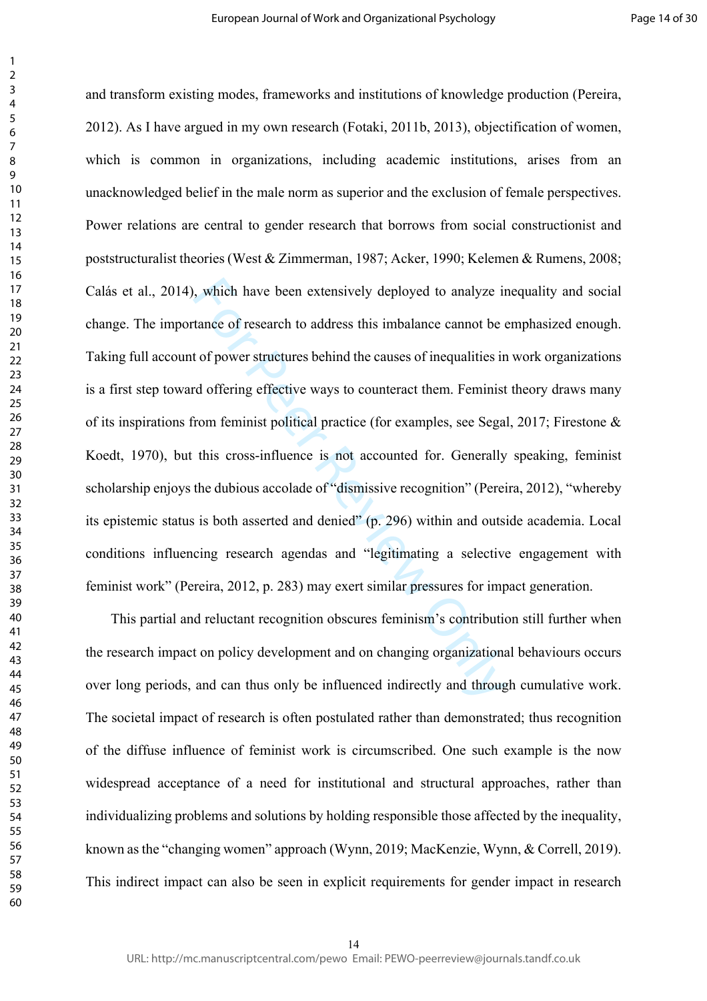which have been extensively deployed to analyze in tance of research to address this imbalance cannot be to follower structures behind the causes of inequalities in the offering effective ways to counteract them. Feminist and transform existing modes, frameworks and institutions of knowledge production (Pereira, 2012). As I have argued in my own research (Fotaki, 2011b, 2013), objectification of women, which is common in organizations, including academic institutions, arises from an unacknowledged belief in the male norm as superior and the exclusion of female perspectives. Power relations are central to gender research that borrows from social constructionist and poststructuralist theories (West & Zimmerman, 1987; Acker, 1990; Kelemen & Rumens, 2008; Calás et al., 2014), which have been extensively deployed to analyze inequality and social change. The importance of research to address this imbalance cannot be emphasized enough. Taking full account of power structures behind the causes of inequalities in work organizations is a first step toward offering effective ways to counteract them. Feminist theory draws many of its inspirations from feminist political practice (for examples, see Segal, 2017; Firestone & Koedt, 1970), but this cross-influence is not accounted for. Generally speaking, feminist scholarship enjoys the dubious accolade of "dismissive recognition" (Pereira, 2012), "whereby its epistemic status is both asserted and denied" (p. 296) within and outside academia. Local conditions influencing research agendas and "legitimating a selective engagement with feminist work" (Pereira, 2012, p. 283) may exert similar pressures for impact generation.

This partial and reluctant recognition obscures feminism's contribution still further when the research impact on policy development and on changing organizational behaviours occurs over long periods, and can thus only be influenced indirectly and through cumulative work. The societal impact of research is often postulated rather than demonstrated; thus recognition of the diffuse influence of feminist work is circumscribed. One such example is the now widespread acceptance of a need for institutional and structural approaches, rather than individualizing problems and solutions by holding responsible those affected by the inequality, known as the "changing women" approach (Wynn, 2019; MacKenzie, Wynn, & Correll, 2019). This indirect impact can also be seen in explicit requirements for gender impact in research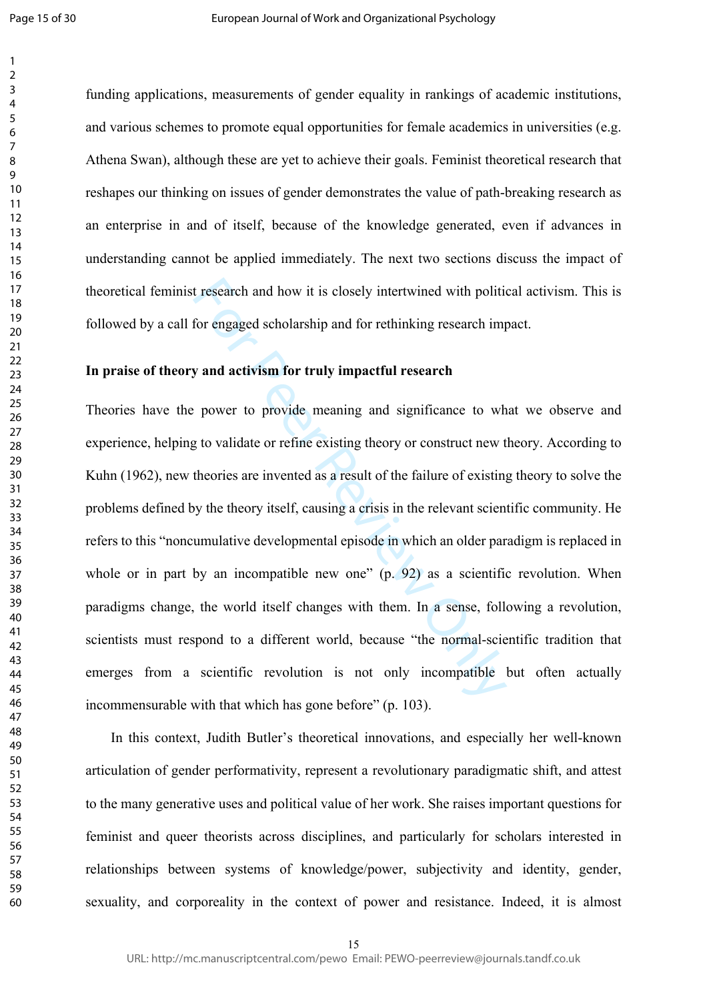Page 15 of 30

 $\mathbf{1}$ 

funding applications, measurements of gender equality in rankings of academic institutions, and various schemes to promote equal opportunities for female academics in universities (e.g. Athena Swan), although these are yet to achieve their goals. Feminist theoretical research that reshapes our thinking on issues of gender demonstrates the value of path-breaking research as an enterprise in and of itself, because of the knowledge generated, even if advances in understanding cannot be applied immediately. The next two sections discuss the impact of theoretical feminist research and how it is closely intertwined with political activism. This is followed by a call for engaged scholarship and for rethinking research impact.

# **In praise of theory and activism for truly impactful research**

t research and how it is closely intertwined with politic<br>for engaged scholarship and for rethinking research imp<br>y and activism for truly impactful research<br>power to provide meaning and significance to wh<br>g to validate or Theories have the power to provide meaning and significance to what we observe and experience, helping to validate or refine existing theory or construct new theory. According to Kuhn (1962), new theories are invented as a result of the failure of existing theory to solve the problems defined by the theory itself, causing a crisis in the relevant scientific community. He refers to this "noncumulative developmental episode in which an older paradigm is replaced in whole or in part by an incompatible new one" (p. 92) as a scientific revolution. When paradigms change, the world itself changes with them. In a sense, following a revolution, scientists must respond to a different world, because "the normal-scientific tradition that emerges from a scientific revolution is not only incompatible but often actually incommensurable with that which has gone before" (p. 103).

In this context, Judith Butler's theoretical innovations, and especially her well-known articulation of gender performativity, represent a revolutionary paradigmatic shift, and attest to the many generative uses and political value of her work. She raises important questions for feminist and queer theorists across disciplines, and particularly for scholars interested in relationships between systems of knowledge/power, subjectivity and identity, gender, sexuality, and corporeality in the context of power and resistance. Indeed, it is almost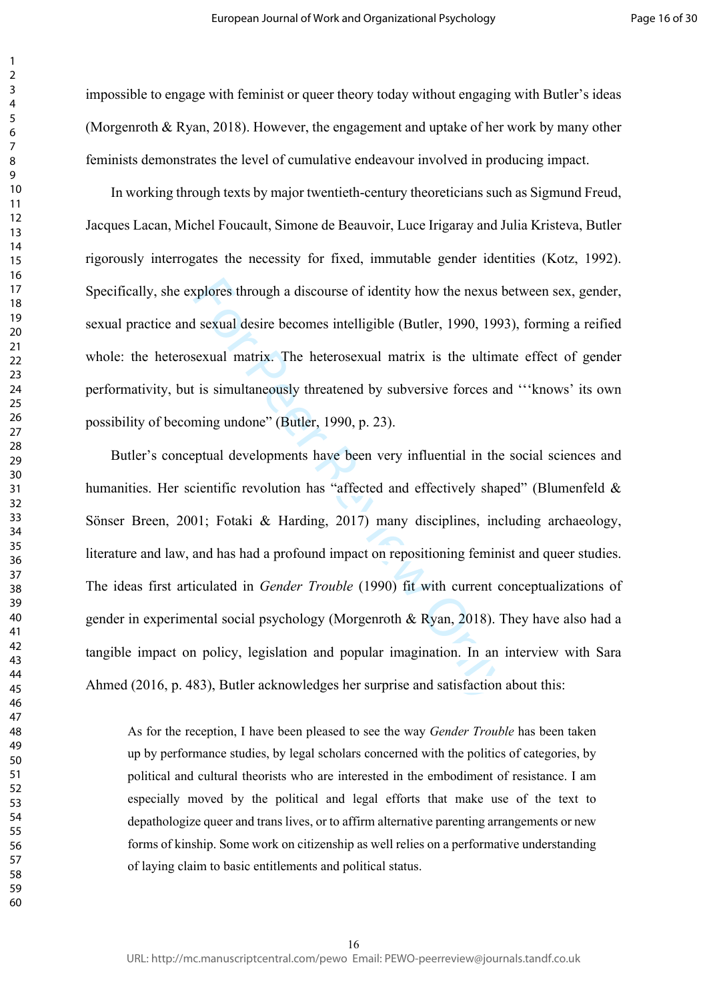impossible to engage with feminist or queer theory today without engaging with Butler's ideas (Morgenroth & Ryan, 2018). However, the engagement and uptake of her work by many other feminists demonstrates the level of cumulative endeavour involved in producing impact.

In working through texts by major twentieth-century theoreticians such as Sigmund Freud, Jacques Lacan, Michel Foucault, Simone de Beauvoir, Luce Irigaray and Julia Kristeva, Butler rigorously interrogates the necessity for fixed, immutable gender identities (Kotz, 1992). Specifically, she explores through a discourse of identity how the nexus between sex, gender, sexual practice and sexual desire becomes intelligible (Butler, 1990, 1993), forming a reified whole: the heterosexual matrix. The heterosexual matrix is the ultimate effect of gender performativity, but is simultaneously threatened by subversive forces and '''knows' its own possibility of becoming undone" (Butler, 1990, p. 23).

xplores through a discourse of identity how the nexus b<br>sexual desire becomes intelligible (Butler, 1990, 1993<br>sexual matrix. The heterosexual matrix is the ultima<br>is simultaneously threatened by subversive forces and<br>ming Butler's conceptual developments have been very influential in the social sciences and humanities. Her scientific revolution has "affected and effectively shaped" (Blumenfeld & Sönser Breen, 2001; Fotaki & Harding, 2017) many disciplines, including archaeology, literature and law, and has had a profound impact on repositioning feminist and queer studies. The ideas first articulated in *Gender Trouble* (1990) fit with current conceptualizations of gender in experimental social psychology (Morgenroth & Ryan, 2018). They have also had a tangible impact on policy, legislation and popular imagination. In an interview with Sara Ahmed (2016, p. 483), Butler acknowledges her surprise and satisfaction about this:

As for the reception, I have been pleased to see the way *Gender Trouble* has been taken up by performance studies, by legal scholars concerned with the politics of categories, by political and cultural theorists who are interested in the embodiment of resistance. I am especially moved by the political and legal efforts that make use of the text to depathologize queer and trans lives, or to affirm alternative parenting arrangements or new forms of kinship. Some work on citizenship as well relies on a performative understanding of laying claim to basic entitlements and political status.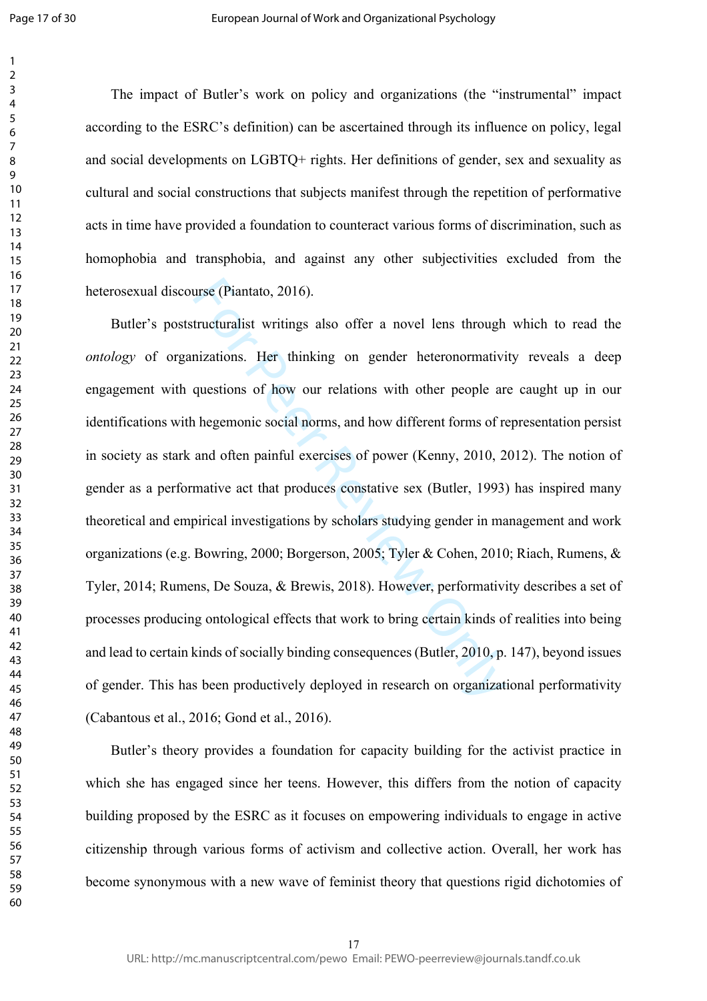The impact of Butler's work on policy and organizations (the "instrumental" impact according to the ESRC's definition) can be ascertained through its influence on policy, legal and social developments on LGBTQ+ rights. Her definitions of gender, sex and sexuality as cultural and social constructions that subjects manifest through the repetition of performative acts in time have provided a foundation to counteract various forms of discrimination, such as homophobia and transphobia, and against any other subjectivities excluded from the heterosexual discourse (Piantato, 2016).

urse (Piantato, 2016).<br>
tructuralist writings also offer a novel lens through<br>
nizations. Her thinking on gender heteronormativi<br>
questions of how our relations with other people ar<br>
hegemonic social norms, and how differe Butler's poststructuralist writings also offer a novel lens through which to read the *ontology* of organizations. Her thinking on gender heteronormativity reveals a deep engagement with questions of how our relations with other people are caught up in our identifications with hegemonic social norms, and how different forms of representation persist in society as stark and often painful exercises of power (Kenny, 2010, 2012). The notion of gender as a performative act that produces constative sex (Butler, 1993) has inspired many theoretical and empirical investigations by scholars studying gender in management and work organizations (e.g. Bowring, 2000; Borgerson, 2005; Tyler & Cohen, 2010; Riach, Rumens, & Tyler, 2014; Rumens, De Souza, & Brewis, 2018). However, performativity describes a set of processes producing ontological effects that work to bring certain kinds of realities into being and lead to certain kinds of socially binding consequences (Butler, 2010, p. 147), beyond issues of gender. This has been productively deployed in research on organizational performativity (Cabantous et al., 2016; Gond et al., 2016).

Butler's theory provides a foundation for capacity building for the activist practice in which she has engaged since her teens. However, this differs from the notion of capacity building proposed by the ESRC as it focuses on empowering individuals to engage in active citizenship through various forms of activism and collective action. Overall, her work has become synonymous with a new wave of feminist theory that questions rigid dichotomies of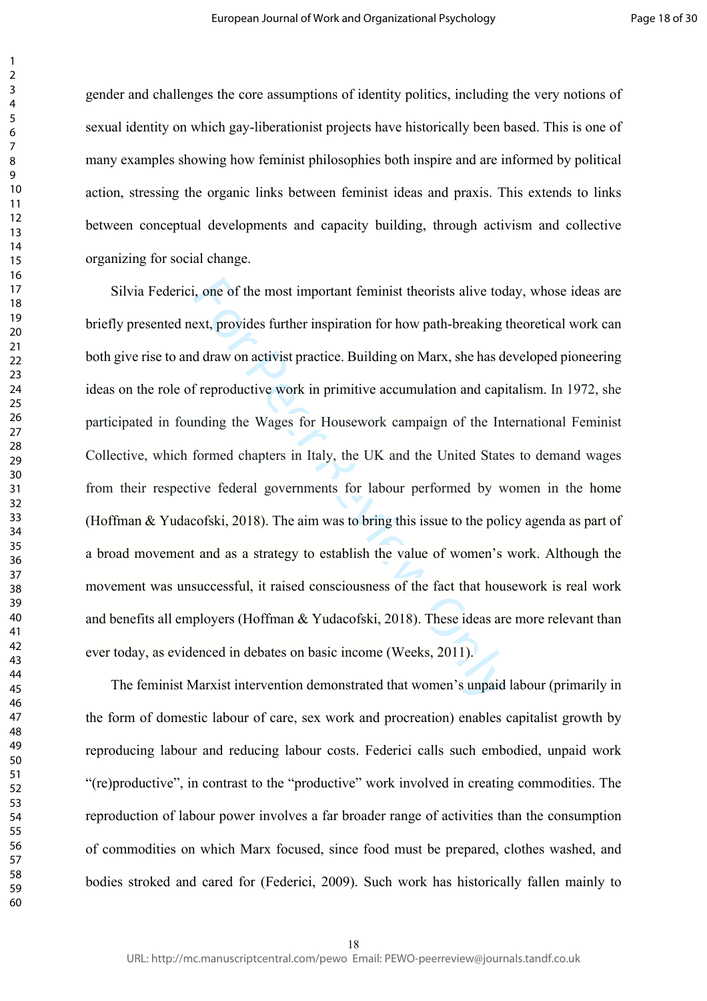gender and challenges the core assumptions of identity politics, including the very notions of sexual identity on which gay-liberationist projects have historically been based. This is one of many examples showing how feminist philosophies both inspire and are informed by political action, stressing the organic links between feminist ideas and praxis. This extends to links between conceptual developments and capacity building, through activism and collective organizing for social change.

i, one of the most important feminist theorists alive tod<br>ext, provides further inspiration for how path-breaking to<br>d draw on activist practice. Building on Marx, she has do<br>f reproductive work in primitive accumulation a Silvia Federici, one of the most important feminist theorists alive today, whose ideas are briefly presented next, provides further inspiration for how path-breaking theoretical work can both give rise to and draw on activist practice. Building on Marx, she has developed pioneering ideas on the role of reproductive work in primitive accumulation and capitalism. In 1972, she participated in founding the Wages for Housework campaign of the International Feminist Collective, which formed chapters in Italy, the UK and the United States to demand wages from their respective federal governments for labour performed by women in the home (Hoffman & Yudacofski, 2018). The aim was to bring this issue to the policy agenda as part of a broad movement and as a strategy to establish the value of women's work. Although the movement was unsuccessful, it raised consciousness of the fact that housework is real work and benefits all employers (Hoffman & Yudacofski, 2018). These ideas are more relevant than ever today, as evidenced in debates on basic income (Weeks, 2011).

The feminist Marxist intervention demonstrated that women's unpaid labour (primarily in the form of domestic labour of care, sex work and procreation) enables capitalist growth by reproducing labour and reducing labour costs. Federici calls such embodied, unpaid work "(re)productive", in contrast to the "productive" work involved in creating commodities. The reproduction of labour power involves a far broader range of activities than the consumption of commodities on which Marx focused, since food must be prepared, clothes washed, and bodies stroked and cared for (Federici, 2009). Such work has historically fallen mainly to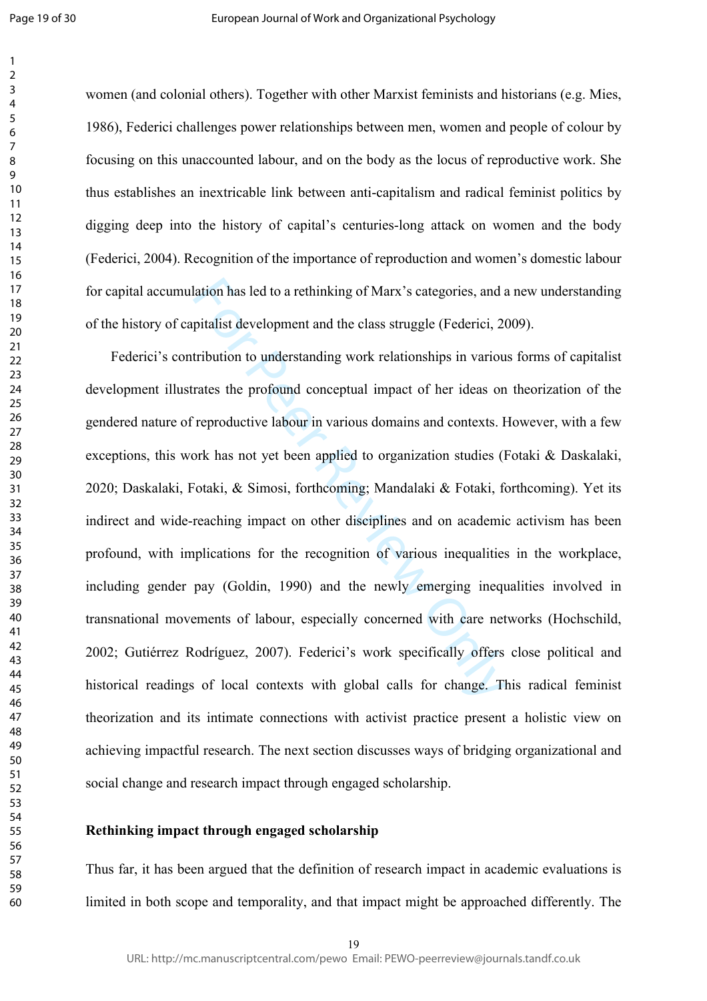women (and colonial others). Together with other Marxist feminists and historians (e.g. Mies, 1986), Federici challenges power relationships between men, women and people of colour by focusing on this unaccounted labour, and on the body as the locus of reproductive work. She thus establishes an inextricable link between anti-capitalism and radical feminist politics by digging deep into the history of capital's centuries-long attack on women and the body (Federici, 2004). Recognition of the importance of reproduction and women's domestic labour for capital accumulation has led to a rethinking of Marx's categories, and a new understanding of the history of capitalist development and the class struggle (Federici, 2009).

lation has led to a rethinking of Marx's categories, and a<br>pitalist development and the class struggle (Federici, 20<br>tribution to understanding work relationships in variou<br>rates the profound conceptual impact of her ideas Federici's contribution to understanding work relationships in various forms of capitalist development illustrates the profound conceptual impact of her ideas on theorization of the gendered nature of reproductive labour in various domains and contexts. However, with a few exceptions, this work has not yet been applied to organization studies (Fotaki & Daskalaki, 2020; Daskalaki, Fotaki, & Simosi, forthcoming; Mandalaki & Fotaki, forthcoming). Yet its indirect and wide-reaching impact on other disciplines and on academic activism has been profound, with implications for the recognition of various inequalities in the workplace, including gender pay (Goldin, 1990) and the newly emerging inequalities involved in transnational movements of labour, especially concerned with care networks (Hochschild, 2002; Gutiérrez Rodríguez, 2007). Federici's work specifically offers close political and historical readings of local contexts with global calls for change. This radical feminist theorization and its intimate connections with activist practice present a holistic view on achieving impactful research. The next section discusses ways of bridging organizational and social change and research impact through engaged scholarship.

# **Rethinking impact through engaged scholarship**

Thus far, it has been argued that the definition of research impact in academic evaluations is limited in both scope and temporality, and that impact might be approached differently. The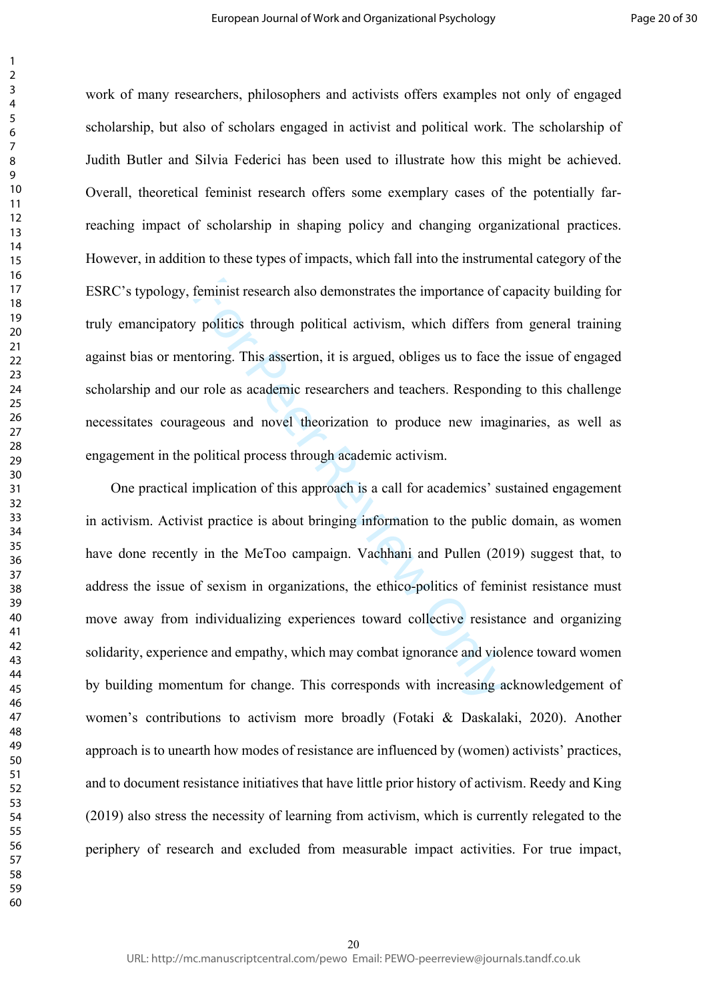work of many researchers, philosophers and activists offers examples not only of engaged scholarship, but also of scholars engaged in activist and political work. The scholarship of Judith Butler and Silvia Federici has been used to illustrate how this might be achieved. Overall, theoretical feminist research offers some exemplary cases of the potentially farreaching impact of scholarship in shaping policy and changing organizational practices. However, in addition to these types of impacts, which fall into the instrumental category of the ESRC's typology, feminist research also demonstrates the importance of capacity building for truly emancipatory politics through political activism, which differs from general training against bias or mentoring. This assertion, it is argued, obliges us to face the issue of engaged scholarship and our role as academic researchers and teachers. Responding to this challenge necessitates courageous and novel theorization to produce new imaginaries, as well as engagement in the political process through academic activism.

feminist research also demonstrates the importance of c<br>
politics through political activism, which differs frequention<br>
from the differs of the political activism, which differs frequention<br>
from the differs of the procee One practical implication of this approach is a call for academics' sustained engagement in activism. Activist practice is about bringing information to the public domain, as women have done recently in the MeToo campaign. Vachhani and Pullen (2019) suggest that, to address the issue of sexism in organizations, the ethico-politics of feminist resistance must move away from individualizing experiences toward collective resistance and organizing solidarity, experience and empathy, which may combat ignorance and violence toward women by building momentum for change. This corresponds with increasing acknowledgement of women's contributions to activism more broadly (Fotaki & Daskalaki, 2020). Another approach is to unearth how modes of resistance are influenced by (women) activists' practices, and to document resistance initiatives that have little prior history of activism. Reedy and King (2019) also stress the necessity of learning from activism, which is currently relegated to the periphery of research and excluded from measurable impact activities. For true impact,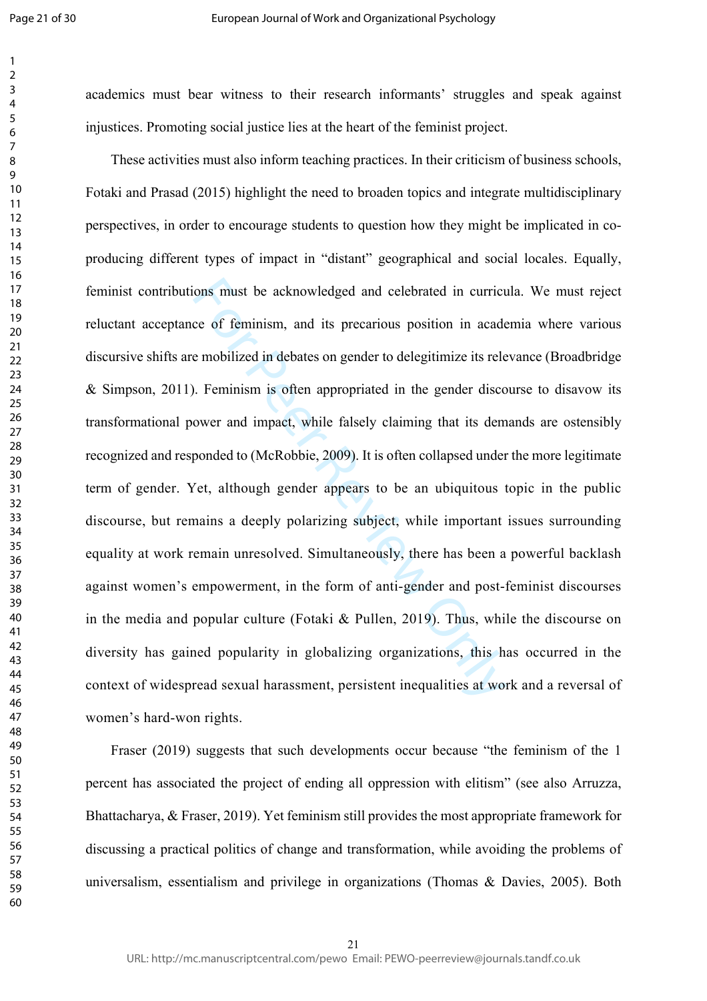academics must bear witness to their research informants' struggles and speak against injustices. Promoting social justice lies at the heart of the feminist project.

ons must be acknowledged and celebrated in currict<br>ce of feminism, and its precarious position in acade<br>e mobilized in debates on gender to delegitimize its rele<br>n. Feminism is often appropriated in the gender disco<br>ower a These activities must also inform teaching practices. In their criticism of business schools, Fotaki and Prasad (2015) highlight the need to broaden topics and integrate multidisciplinary perspectives, in order to encourage students to question how they might be implicated in coproducing different types of impact in "distant" geographical and social locales. Equally, feminist contributions must be acknowledged and celebrated in curricula. We must reject reluctant acceptance of feminism, and its precarious position in academia where various discursive shifts are mobilized in debates on gender to delegitimize its relevance (Broadbridge & Simpson, 2011). Feminism is often appropriated in the gender discourse to disavow its transformational power and impact, while falsely claiming that its demands are ostensibly recognized and responded to (McRobbie, 2009). It is often collapsed under the more legitimate term of gender. Yet, although gender appears to be an ubiquitous topic in the public discourse, but remains a deeply polarizing subject, while important issues surrounding equality at work remain unresolved. Simultaneously, there has been a powerful backlash against women's empowerment, in the form of anti-gender and post-feminist discourses in the media and popular culture (Fotaki & Pullen, 2019). Thus, while the discourse on diversity has gained popularity in globalizing organizations, this has occurred in the context of widespread sexual harassment, persistent inequalities at work and a reversal of women's hard-won rights.

Fraser (2019) suggests that such developments occur because "the feminism of the 1 percent has associated the project of ending all oppression with elitism" (see also Arruzza, Bhattacharya, & Fraser, 2019). Yet feminism still provides the most appropriate framework for discussing a practical politics of change and transformation, while avoiding the problems of universalism, essentialism and privilege in organizations (Thomas & Davies, 2005). Both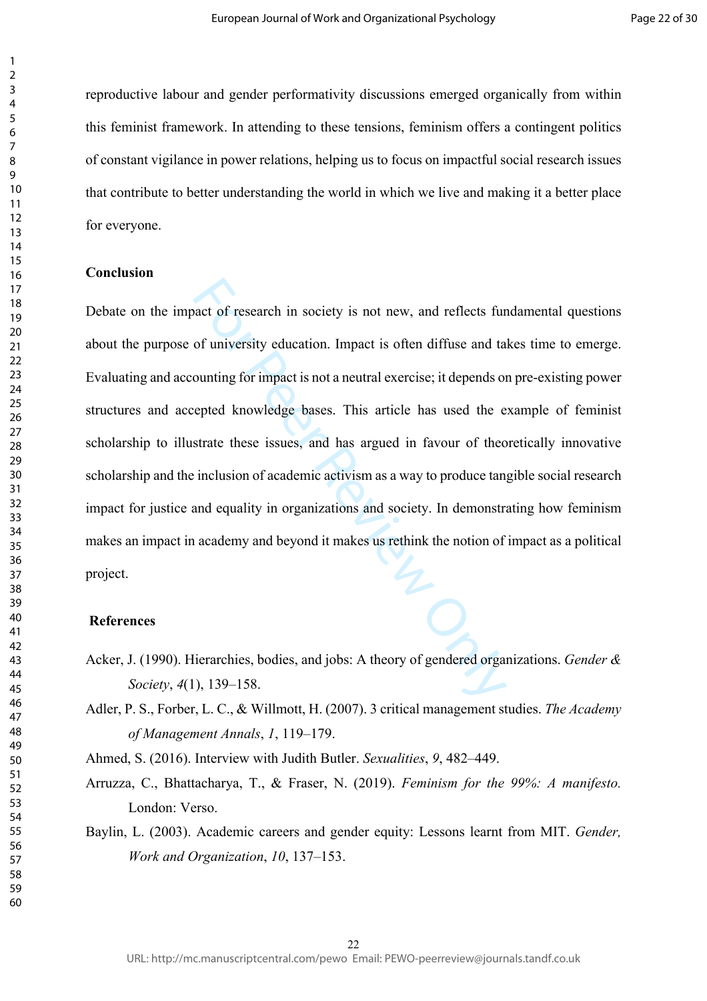reproductive labour and gender performativity discussions emerged organically from within this feminist framework. In attending to these tensions, feminism offers a contingent politics of constant vigilance in power relations, helping us to focus on impactful social research issues that contribute to better understanding the world in which we live and making it a better place for everyone.

# **Conclusion**

and of research in society is not new, and reflects furned that<br>of university education. Impact is often diffuse and ta<br>ounting for impact is not a neutral exercise; it depends on<br>epted knowledge bases. This article has us Debate on the impact of research in society is not new, and reflects fundamental questions about the purpose of university education. Impact is often diffuse and takes time to emerge. Evaluating and accounting for impact is not a neutral exercise; it depends on pre-existing power structures and accepted knowledge bases. This article has used the example of feminist scholarship to illustrate these issues, and has argued in favour of theoretically innovative scholarship and the inclusion of academic activism as a way to produce tangible social research impact for justice and equality in organizations and society. In demonstrating how feminism makes an impact in academy and beyond it makes us rethink the notion of impact as a political project.

### **References**

- Acker, J. (1990). Hierarchies, bodies, and jobs: A theory of gendered organizations. *Gender & Society*, *4*(1), 139–158.
- Adler, P. S., Forber, L. C., & Willmott, H. (2007). 3 critical management studies. *The Academy of Management Annals*, *1*, 119–179.

Ahmed, S. (2016). Interview with Judith Butler. *Sexualities*, *9*, 482–449.

- Arruzza, C., Bhattacharya, T., & Fraser, N. (2019). *Feminism for the 99%: A manifesto.*  London: Verso.
- Baylin, L. (2003). Academic careers and gender equity: Lessons learnt from MIT. *Gender, Work and Organization*, *10*, 137–153.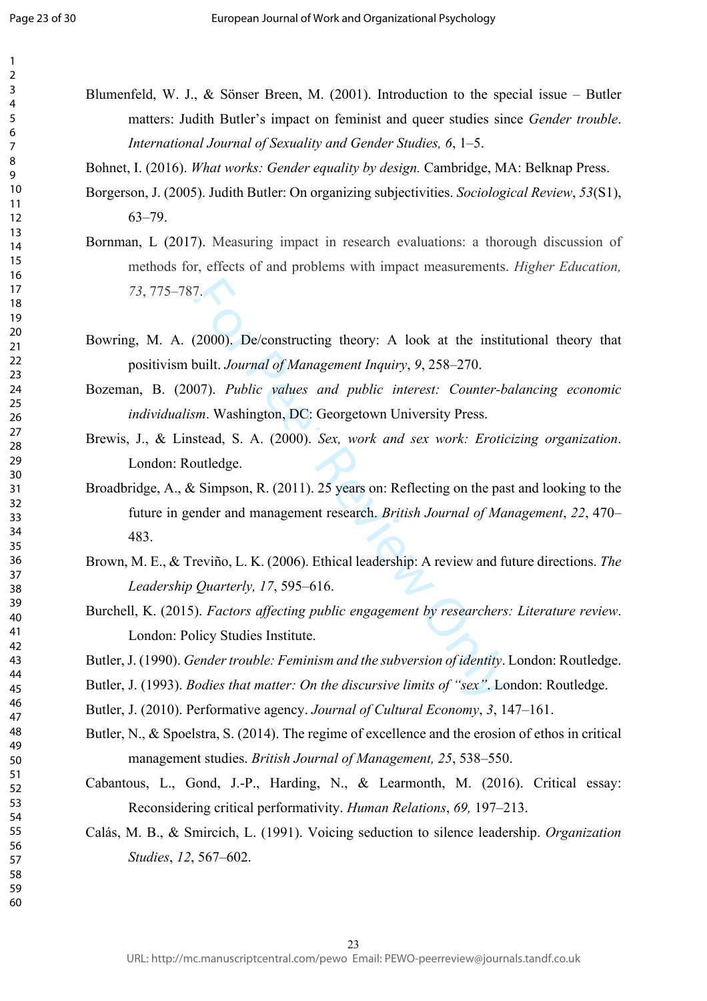- Blumenfeld, W. J., & Sönser Breen, M. (2001). Introduction to the special issue Butler matters: Judith Butler's impact on feminist and queer studies since *Gender trouble*. *International Journal of Sexuality and Gender Studies, 6*, 1–5.
- Bohnet, I. (2016). *What works: Gender equality by design.* Cambridge, MA: Belknap Press.
- Borgerson, J. (2005). Judith Butler: On organizing subjectivities. *Sociological Review*, *53*(S1), 63–79.
- Bornman, L (2017). Measuring impact in research evaluations: a thorough discussion of methods for, effects of and problems with impact measurements. *Higher Education, 73*, 775–787.
- Bowring, M. A. (2000). De/constructing theory: A look at the institutional theory that positivism built. *Journal of Management Inquiry*, *9*, 258–270.
- Bozeman, B. (2007). *Public values and public interest: Counter-balancing economic individualism*. Washington, DC: Georgetown University Press.
- Brewis, J., & Linstead, S. A. (2000). *Sex, work and sex work: Eroticizing organization*. London: Routledge.
- 7.<br>
(2000). De/constructing theory: A look at the instituted built. Journal of Management Inquiry, 9, 258–270.<br>
07). Public values and public interest: Counter-born.<br>
Washington, DC: Georgetown University Press.<br>
stead, S. Broadbridge, A., & Simpson, R. (2011). 25 years on: Reflecting on the past and looking to the future in gender and management research. *British Journal of Management*, *22*, 470– 483.
- Brown, M. E., & Treviño, L. K. (2006). Ethical leadership: A review and future directions. *The Leadership Quarterly, 17*, 595–616.
- Burchell, K. (2015). *Factors affecting public engagement by researchers: Literature review*. London: Policy Studies Institute.
- Butler, J. (1990). *Gender trouble: Feminism and the subversion of identity*. London: Routledge.
- Butler, J. (1993). *Bodies that matter: On the discursive limits of "sex"*. London: Routledge.
- Butler, J. (2010). Performative agency. *Journal of Cultural Economy*, *3*, 147–161.
- Butler, N., & Spoelstra, S. (2014). The regime of excellence and the erosion of ethos in critical management studies. *British Journal of Management, 25*, 538–550.
- Cabantous, L., Gond, J.-P., Harding, N., & Learmonth, M. (2016). Critical essay: Reconsidering critical performativity. *Human Relations*, *69,* 197–213.
- Calás, M. B., & Smircich, L. (1991). Voicing seduction to silence leadership. *Organization Studies*, *12*, 567–602.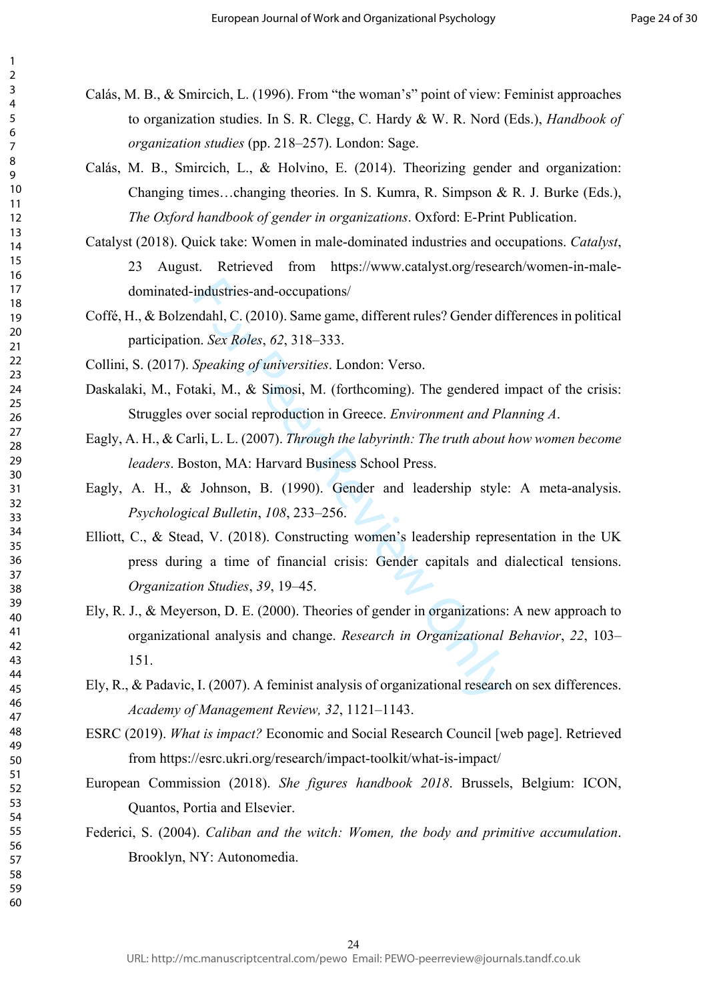- Calás, M. B., & Smircich, L. (1996). From "the woman's" point of view: Feminist approaches to organization studies. In S. R. Clegg, C. Hardy & W. R. Nord (Eds.), *Handbook of organization studies* (pp. 218–257). London: Sage.
- Calás, M. B., Smircich, L., & Holvino, E. (2014). Theorizing gender and organization: Changing times…changing theories. In S. Kumra, R. Simpson & R. J. Burke (Eds.), *The Oxford handbook of gender in organizations*. Oxford: E-Print Publication.
- Catalyst (2018). Quick take: Women in male-dominated industries and occupations. *Catalyst*, 23 August. Retrieved from [https://www.catalyst.org/research/women-in-male](https://www.catalyst.org/research/women-in-male-dominated-industries-and-occupations/)[dominated-industries-and-occupations/](https://www.catalyst.org/research/women-in-male-dominated-industries-and-occupations/)
- Coffé, H., & Bolzendahl, C. (2010). Same game, different rules? Gender differences in political participation. *Sex Roles*, *62*, 318–333.
- Collini, S. (2017). *Speaking of universities*. London: Verso.
- Daskalaki, M., Fotaki, M., & Simosi, M. (forthcoming). The gendered impact of the crisis: Struggles over social reproduction in Greece. *Environment and Planning A* .
- Eagly, A. H., & Carli, L. L. (2007). *Through the labyrinth: The truth about how women become leaders*. Boston, MA: Harvard Business School Press.
- Eagly, A. H., & Johnson, B. (1990). Gender and leadership style: A meta-analysis. *Psychological Bulletin*, *108*, 233–256.
- industries-and-occupations/<br>
Indiahl, C. (2010). Same game, different rules? Gender din<br>
In. *Sex Roles*, 62, 318–333.<br> *Speaking of universities*. London: Verso.<br>
Iaki, M., & Simosi, M. (forthcoming). The gendered iver so Elliott, C., & Stead, V. (2018). Constructing women's leadership representation in the UK press during a time of financial crisis: Gender capitals and dialectical tensions. *Organization Studies*, *39*, 19–45.
- [Ely,](https://www.sciencedirect.com/science/article/pii/S0191308500220042#!) R. J[., & Meyerson,](https://www.sciencedirect.com/science/article/pii/S0191308500220042#!) D. E. (2000). Theories of gender in organizations: A new approach to organizational analysis and change. *[Research in Organizational Behavior](https://www.sciencedirect.com/science/journal/01913085)*, *22*, 103– 151.
- Ely, R., & Padavic, I. (2007). A feminist analysis of organizational research on sex differences. *Academy of Management Review, 32*, 1121–1143.
- ESRC (2019). *What is impact?* Economic and Social Research Council [web page]. Retrieved from<https://esrc.ukri.org/research/impact-toolkit/what-is-impact/>
- European Commission (2018). *She figures handbook 2018*. Brussels, Belgium: ICON, Quantos, Portia and Elsevier.
- Federici, S. (2004). *Caliban and the witch: Women, the body and primitive accumulation*. Brooklyn, NY: Autonomedia.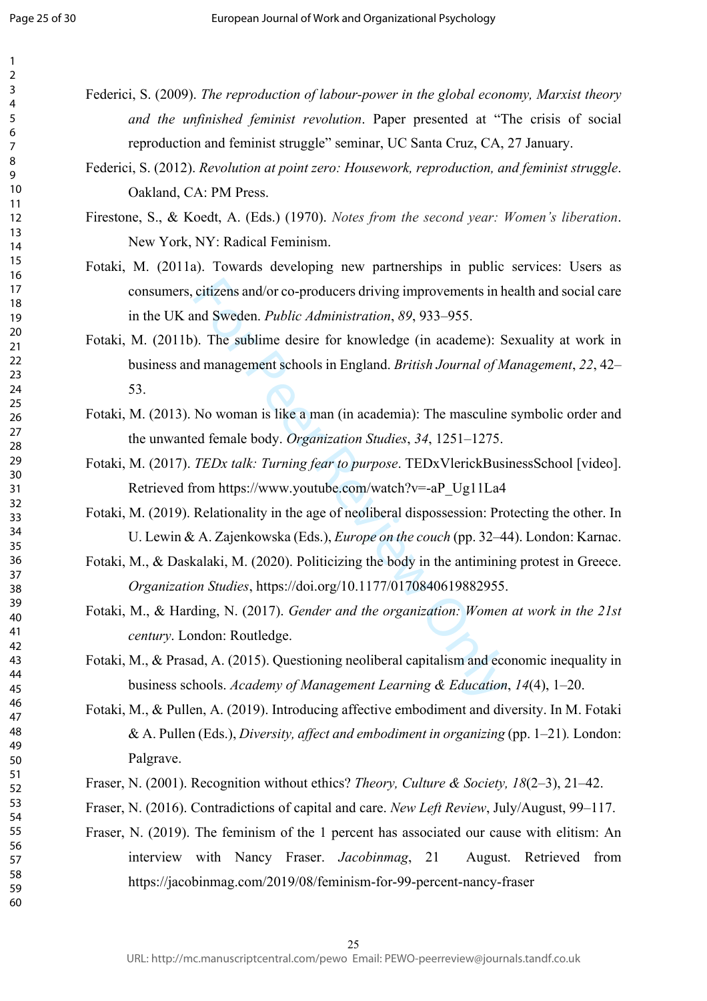Page 25 of 30

123456789

 $\mathbf{1}$  $\overline{2}$  $\overline{3}$  $\overline{4}$ 5 6  $\overline{7}$ 8 9

- Federici, S. (2009). *The reproduction of labour-power in the global economy, Marxist theory and the unfinished feminist revolution*. Paper presented at "The crisis of social reproduction and feminist struggle" seminar, UC Santa Cruz, CA, 27 January.
- Federici, S. (2012). *Revolution at point zero: Housework, reproduction, and feminist struggle*. Oakland, CA: PM Press.

Firestone, S., & Koedt, A. (Eds.) (1970). *Notes from the second year: Women's liberation*. New York, NY: Radical Feminism.

- Fotaki, M. (2011a). Towards developing new partnerships in public services: Users as consumers, citizens and/or co-producers driving improvements in health and social care in the UK and Sweden. *Public Administration*, *89*, 933–955.
- citizens and/or co-producers driving improvements in h<br>
and Sweden. *Public Administration*, 89, 933–955.<br>
D. The sublime desire for knowledge (in academe): S<br>
d management schools in England. *British Journal of M*<br>
No w Fotaki, M. (2011b). The sublime desire for knowledge (in academe): Sexuality at work in business and management schools in England. *British Journal of Management*, *22*, 42– 53.
- Fotaki, M. (2013). No woman is like a man (in academia): The masculine symbolic order and the unwanted female body. *Organization Studies*, *34*, 1251–1275.
- Fotaki, M. (2017). *TEDx talk: Turning fear to purpose*. TEDxVlerickBusinessSchool [video]. Retrieved from https://www.youtube.com/watch?v=-aP\_Ug11La4
- Fotaki, M. (2019). Relationality in the age of neoliberal dispossession: Protecting the other. In U. Lewin & A. Zajenkowska (Eds.), *Europe on the couch* (pp. 32–44). London: Karnac.
- Fotaki, M., & Daskalaki, M. (2020). Politicizing the body in the antimining protest in Greece. *Organization Studies*, https://doi.org/10.1177/0170840619882955.
- Fotaki, M., & Harding, N. (2017). *Gender and the organization: Women at work in the 21st century*. London: Routledge.
- Fotaki, M., & Prasad, A. (2015). Questioning neoliberal capitalism and economic inequality in business schools. *Academy of Management Learning & Education*, *14*(4), 1–20.
- Fotaki, M., & Pullen, A. (2019). Introducing affective embodiment and diversity. In M. Fotaki & A. Pullen (Eds.), *Diversity, affect and embodiment in organizing* (pp. 1–21)*.* London: Palgrave.
- Fraser, N. (2001). Recognition without ethics? *Theory, Culture & Society, 18*(2–3), 21–42.
- Fraser, N. (2016). Contradictions of capital and care. *New Left Review*, July/August, 99–117.
- Fraser, N. (2019). The feminism of the 1 percent has associated our cause with elitism: An interview with Nancy Fraser. *Jacobinmag* August. Retrieved from <https://jacobinmag.com/2019/08/feminism-for-99-percent-nancy-fraser>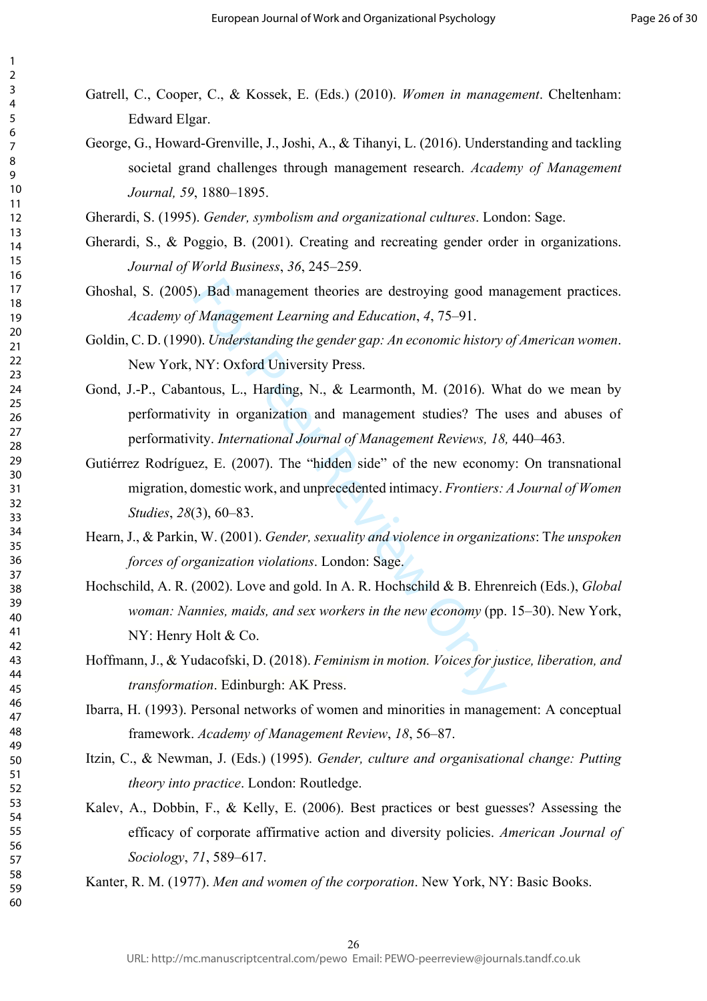- Gatrell, C., Cooper, C., & Kossek, E. (Eds.) (2010). *Women in management*. Cheltenham: Edward Elgar.
- George, G., Howard-Grenville, J., Joshi, A., & Tihanyi, L. (2016). Understanding and tackling societal grand challenges through management research. *Academy of Management Journal, 59*, 1880–1895.
- Gherardi, S. (1995). *Gender, symbolism and organizational cultures*. London: Sage.
- Gherardi, S., & Poggio, B. (2001). Creating and recreating gender order in organizations. *Journal of World Business*, *36*, 245–259.
- Ghoshal, S. (2005). Bad management theories are destroying good management practices. *Academy of Management Learning and Education*, *4*, 75–91.
- Goldin, C. D. (1990). *Understanding the gender gap: An economic history of American women*. New York, NY: Oxford University Press.
- Gond, J.-P., Cabantous, L., Harding, N., & Learmonth, M. (2016). What do we mean by performativity in organization and management studies? The uses and abuses of performativity. *International Journal of Management Reviews, 18,* 440–463*.*
- Gutiérrez Rodríguez, E. (2007). The "hidden side" of the new economy: On transnational migration, domestic work, and unprecedented intimacy. *Frontiers: A Journal of Women Studies*, *28*(3), 60–83.
- Hearn, J., & Parkin, W. (2001). *Gender, sexuality and violence in organizations*: T*he unspoken forces of organization violations*. London: Sage.
- ). Bad management theories are destroying good management Learning and Education, 4, 75–91.<br>
(*Management Learning and Education*, 4, 75–91.<br>
(*N*). Understanding the gender gap: An economic history ( $NY$ : Oxford Universit Hochschild, A. R. (2002). Love and gold. In A. R. Hochschild & B. Ehrenreich (Eds.), *Global woman: Nannies, maids, and sex workers in the new economy* (pp. 15–30). New York, NY: Henry Holt & Co.
- Hoffmann, J., & Yudacofski, D. (2018). *Feminism in motion. Voices for justice, liberation, and transformation*. Edinburgh: AK Press.
- Ibarra, H. (1993). Personal networks of women and minorities in management: A conceptual framework. *Academy of Management Review*, *18*, 56–87.
- Itzin, C., & Newman, J. (Eds.) (1995). *Gender, culture and organisational change: Putting theory into practice*. London: Routledge.
- Kalev, A., Dobbin, F., & Kelly, E. (2006). Best practices or best guesses? Assessing the efficacy of corporate affirmative action and diversity policies. *American Journal of Sociology*, *71*, 589–617.
- Kanter, R. M. (1977). *Men and women of the corporation*. New York, NY: Basic Books.

123456789

 $\mathbf{1}$  $\overline{2}$  $\overline{3}$  $\overline{4}$ 5 6  $\overline{7}$ 8 9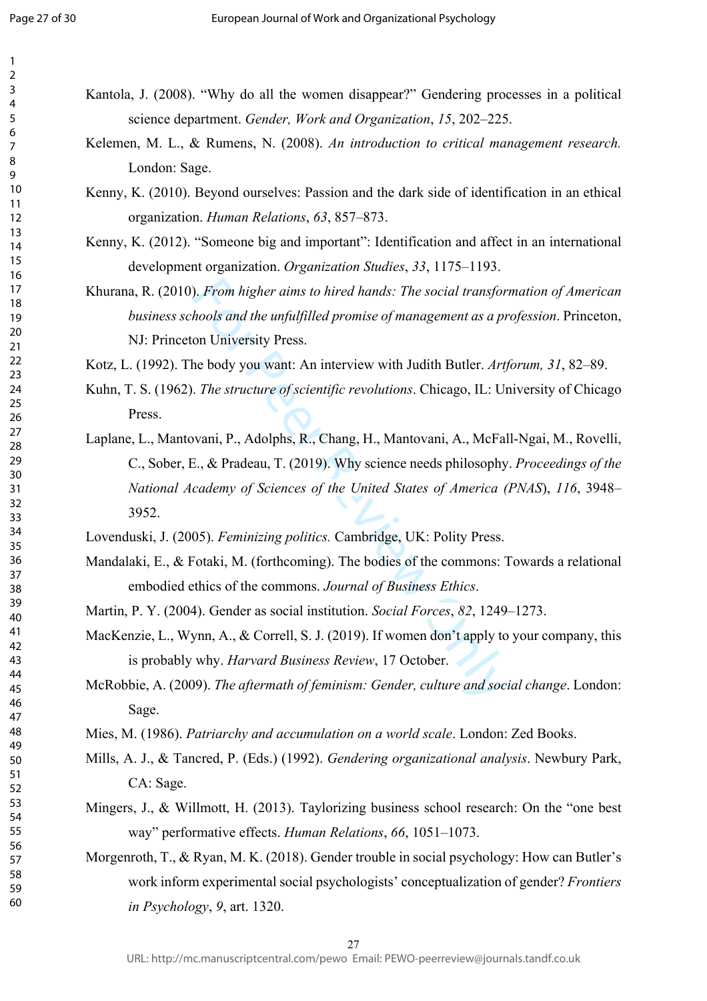| 1                   |                |
|---------------------|----------------|
| $\overline{c}$<br>3 |                |
| 4                   | Kantola, J     |
| 5                   | sci            |
| 6<br>$\overline{7}$ | Kelemen,       |
| 8<br>9              | Lo             |
| 10                  | Kenny, K.      |
| 11<br>12            |                |
| 13                  | org            |
| 14<br>15            | Kenny, K.      |
| 16                  | de             |
| 17<br>18            | Khurana, l     |
| 19                  | bи.            |
| 20<br>21            | NJ             |
| 22                  | Kotz, L. (1    |
| 23<br>24            | Kuhn, T. S     |
| 25                  |                |
| 26<br>27            | Pre            |
| 28                  | Laplane, L     |
| 29<br>30            | C.,            |
| 31                  | Na             |
| 32<br>33            | 39.            |
| 34                  | Lovendusl      |
| 35<br>36            |                |
| 37                  | Mandalaki      |
| 38                  | em             |
| 39<br>40            | Martin, P.     |
| 41<br>42            | MacKenzi       |
| 43                  | is j           |
| 44<br>45            | McRobbie       |
| 46                  | Sag            |
| 47                  |                |
| 48<br>49            | Mies, M. (     |
| 50                  | Mills, A. J    |
| 51<br>52            | $C_{\ell}$     |
| 53                  | Mingers, J     |
| 54<br>55            | wa             |
| 56                  |                |
| 57<br>58            | Morgenrot      |
| 59                  | W <sub>0</sub> |
| 60                  | in             |

I. (2008). "Why do all the women disappear?" Gendering processes in a political ence department. *Gender, Work and Organization*, *15*, 202–225.

- M. L., & Rumens, N. (2008). An introduction to critical management research. ndon: Sage.
- $(2010)$ . Beyond ourselves: Passion and the dark side of identification in an ethical organization. *Human Relations* , *63*, 857–873.
- $(2012)$ . "Someone big and important": Identification and affect in an international development organization. *Organization Studies*, *33*, 1175–1193.
- R. (2010). *From higher aims to hired hands: The social transformation of American business schools and the unfulfilled promise of management as a profession*. Princeton, : Princeton University Press.

Kotz, L. (1992). The body you want: An interview with Judith Butler. *Artforum, 31* , 82–89.

- K. (1962). *The structure of scientific revolutions*. Chicago, IL: University of Chicago ess.
- From higher aims to hired hands: The social transfor hools and the unfulfilled promise of management as a prom University Press.<br>
ne body you want: An interview with Judith Butler. Art, The structure of scientific revoluti L., Mantovani, P., Adolphs, R., Chang, H., Mantovani, A., McFall-Ngai, M., Rovelli, Sober, E., & Pradeau, T. (2019). Why science needs philosophy. *Proceedings of the National Academy of Sciences of the United States of America (PNAS*), *116*, 3948– 52.
- ki, J. (2005). *Feminizing politics.* Cambridge, UK: Polity Press.
- i, E.,  $\&$  Fotaki, M. (forthcoming). The bodies of the commons: Towards a relational embodied ethics of the commons. *Journal of Business Ethics* .
- Y. (2004). Gender as social institution. *Social Forces*, 82, 1249–1273.
- ie, L., Wynn, A., & Correll, S. J. (2019). If women don't apply to your company, this probably why. *Harvard Business Review*, 17 October.
- e, A. (2009). *The aftermath of feminism: Gender, culture and social change*. London: ge.
- 1986). Patriarchy and accumulation on a world scale. London: Zed Books.
- U., & Tancred, P. (Eds.) (1992). *Gendering organizational analysis*. Newbury Park, A: Sage.
- J., & Willmott, H. (2013). Taylorizing business school research: On the "one best way" performative effects. *Human Relations*, *66*, 1051–1073.
- th, T., & Ryan, M. K. (2018). Gender trouble in social psychology: How can Butler's work inform experimental social psychologists' conceptualization of gender? *Frontiers in Psychology*, *9*, art. 1320.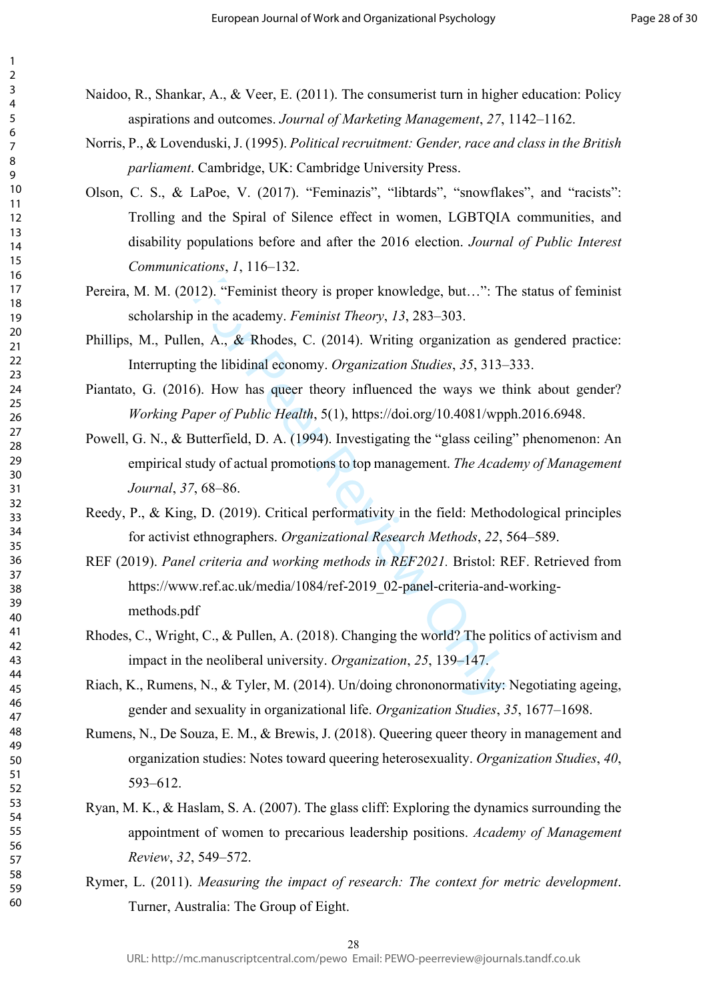- Naidoo, R., Shankar, A., & Veer, E. (2011). The consumerist turn in higher education: Policy aspirations and outcomes. *Journal of Marketing Management*, *27*, 1142–1162.
- Norris, P., & Lovenduski, J. (1995). *Political recruitment: Gender, race and class in the British parliament*. Cambridge, UK: Cambridge University Press.
- Olson, C. S., & LaPoe, V. (2017). "Feminazis", "libtards", "snowflakes", and "racists": Trolling and the Spiral of Silence effect in women, LGBTQIA communities, and disability populations before and after the 2016 election. *Journal of Public Interest Communications*, *1*, 116–132.
- Pereira, M. M. (2012). "Feminist theory is proper knowledge, but…": The status of feminist scholarship in the academy. *Feminist Theory*, *13*, 283–303.
- Phillips, M., Pullen, A., & Rhodes, C. (2014). Writing organization as gendered practice: Interrupting the libidinal economy. *Organization Studies*, *35*, 313–333.
- Piantato, G. (2016). How has queer theory influenced the ways we think about gender? *Working Paper of Public Health*, 5(1), https://doi.org/10.4081/wpph.2016.6948.
- 12). "Feminist theory is proper knowledge, but...": The in the academy. *Feminist Theory*, 13, 283–303.<br>
in the academy. *Feminist Theory*, 13, 283–303.<br>
in, A., & Rhodes, C. (2014). Writing organization as<br>
it the libidi Powell, G. N., & Butterfield, D. A. (1994). Investigating the "glass ceiling" phenomenon: An empirical study of actual promotions to top management. *The Academy of Management Journal*, *37*, 68–86.
- Reedy, P., & King, D. (2019). Critical performativity in the field: Methodological principles for activist ethnographers. *Organizational Research Methods*, *22*, 564–589.
- REF (2019). *Panel criteria and working methods in REF2021.* Bristol: REF. Retrieved from [https://www.ref.ac.uk/media/1084/ref-2019\\_02-panel-criteria-and-working](https://www.ref.ac.uk/media/1084/ref-2019_02-panel-criteria-and-working-methods.pdf)[methods.pdf](https://www.ref.ac.uk/media/1084/ref-2019_02-panel-criteria-and-working-methods.pdf)
- Rhodes, C., Wright, C., & Pullen, A. (2018). Changing the world? The politics of activism and impact in the neoliberal university. *Organization*, *25*, 139–147.
- Riach, K., Rumens, N., & Tyler, M. (2014). Un/doing chrononormativity: Negotiating ageing, gender and sexuality in organizational life. *Organization Studies*, *35*, 1677–1698.
- Rumens, N., De Souza, E. M., & Brewis, J. (2018). Queering queer theory in management and organization studies: Notes toward queering heterosexuality. *Organization Studies*, *40*, 593–612.
- Ryan, M. K., & Haslam, S. A. (2007). The glass cliff: Exploring the dynamics surrounding the appointment of women to precarious leadership positions. *Academy of Management Review*, *32*, 549–572.
- Rymer, L. (2011). *Measuring the impact of research: The context for metric development*. Turner, Australia: The Group of Eight.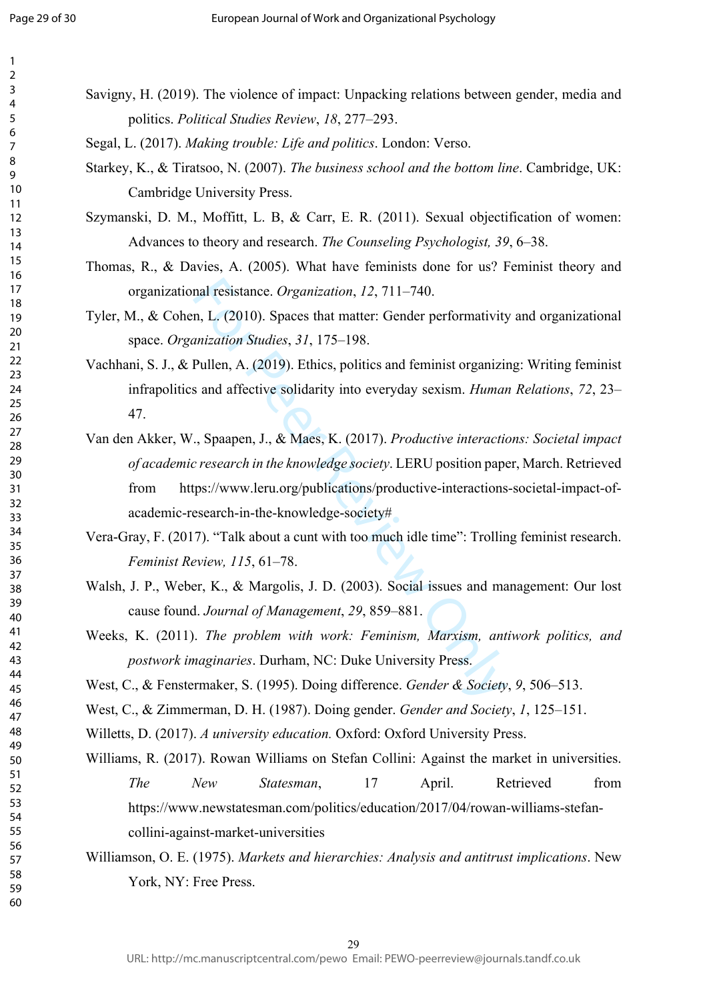123456789

 $\mathbf{1}$  $\overline{2}$  $\overline{3}$  $\overline{4}$ 5 6  $\overline{7}$ 8 9

mal resistance. *Organization*, 12, 711–740.<br>
n, L. (2010). Spaces that matter: Gender performativity<br>
mization Studies, 31, 175–198.<br>
Pullen, A. (2019). Ethics, politics and feminist organizii<br>
s and affective solidarity 29 Savigny, H. (2019). The violence of impact: Unpacking relations between gender, media and politics. *Political Studies Review*, *18*, 277–293. Segal, L. (2017). *Making trouble: Life and politics*. London: Verso. Starkey, K., & Tiratsoo, N. (2007). *The business school and the bottom line*. Cambridge, UK: Cambridge University Press. Szymanski, D. M., Moffitt, L. B, & Carr, E. R. (2011). Sexual objectification of women: Advances to theory and research. *The Counseling Psychologist, 39*, 6–38. Thomas, R., & Davies, A. (2005). What have feminists done for us? Feminist theory and organizational resistance. *Organization*, *12*, 711–740. Tyler, M., & Cohen, L. (2010). Spaces that matter: Gender performativity and organizational space. *Organization Studies*, *31*, 175–198. Vachhani, S. J., & Pullen, A. (2019). Ethics, politics and feminist organizing: Writing feminist infrapolitics and affective solidarity into everyday sexism. *Human Relations*, *72*, 23– 47. Van den Akker, W., Spaapen, J., & Maes, K. (2017). *Productive interactions: Societal impact of academic research in the knowledge society*. LERU position paper, March. Retrieved from https://www.leru.org/publications/productive-interactions-societal-impact-ofacademic-research-in-the-knowledge-society# Vera-Gray, F. (2017). "Talk about a cunt with too much idle time": Trolling feminist research. *Feminist Review, 115*, 61–78. Walsh, J. P., Weber, K., & Margolis, J. D. (2003). Social issues and management: Our lost cause found. *Journal of Management*, *29*, 859–881. Weeks, K. (2011). *The problem with work: Feminism, Marxism, antiwork politics, and postwork imaginaries*. Durham, NC: Duke University Press. West, C., & Fenstermaker, S. (1995). Doing difference. *Gender & Society*, *9*, 506–513. West, C., & Zimmerman, D. H. (1987). Doing gender. *Gender and Society*, *1*, 125–151. Willetts, D. (2017). *A university education.* Oxford: Oxford University Press. Williams, R. (2017). Rowan Williams on Stefan Collini: Against the market in universities. *The New Statesman*, 17 April. Retrieved from [https://www.newstatesman.com/politics/education/2017/04/rowan-williams-stefan](https://www.newstatesman.com/politics/education/2017/04/rowan-williams-stefan-collini-against-market-universities)[collini-against-market-universities](https://www.newstatesman.com/politics/education/2017/04/rowan-williams-stefan-collini-against-market-universities) Williamson, O. E. (1975). *Markets and hierarchies: Analysis and antitrust implications*. New York, NY: Free Press. URL: http://mc.manuscriptcentral.com/pewo Email: PEWO-peerreview@journals.tandf.co.uk